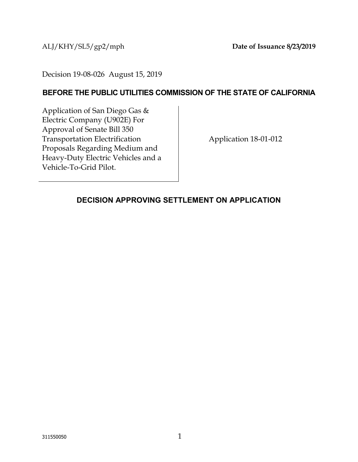ALJ/KHY/SL5/gp2/mph **Date of Issuance 8/23/2019**

Decision 19-08-026 August 15, 2019

#### **BEFORE THE PUBLIC UTILITIES COMMISSION OF THE STATE OF CALIFORNIA**

Application of San Diego Gas & Electric Company (U902E) For Approval of Senate Bill 350 Transportation Electrification Proposals Regarding Medium and Heavy-Duty Electric Vehicles and a Vehicle-To-Grid Pilot.

Application 18-01-012

#### <span id="page-0-0"></span>**DECISION APPROVING SETTLEMENT ON APPLICATION**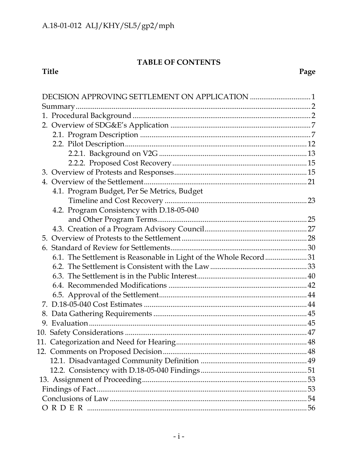### TABLE OF CONTENTS

## Title

| 4.1. Program Budget, Per Se Metrics, Budget                      |  |
|------------------------------------------------------------------|--|
|                                                                  |  |
| 4.2. Program Consistency with D.18-05-040                        |  |
|                                                                  |  |
|                                                                  |  |
|                                                                  |  |
|                                                                  |  |
| 6.1. The Settlement is Reasonable in Light of the Whole Record31 |  |
|                                                                  |  |
|                                                                  |  |
|                                                                  |  |
|                                                                  |  |
|                                                                  |  |
|                                                                  |  |
|                                                                  |  |
|                                                                  |  |
|                                                                  |  |
|                                                                  |  |
|                                                                  |  |
|                                                                  |  |
|                                                                  |  |
|                                                                  |  |
|                                                                  |  |
|                                                                  |  |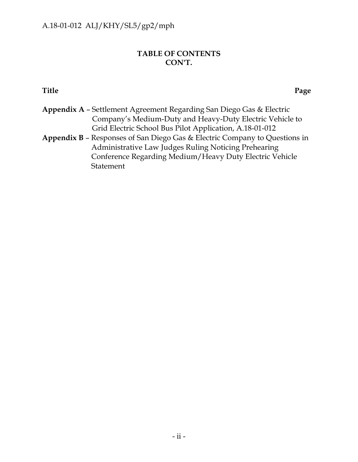### **TABLE OF CONTENTS CON'T.**

#### **Title Page**

| <b>Appendix A - Settlement Agreement Regarding San Diego Gas &amp; Electric</b> |
|---------------------------------------------------------------------------------|
| Company's Medium-Duty and Heavy-Duty Electric Vehicle to                        |
| Grid Electric School Bus Pilot Application, A.18-01-012                         |
| Appendix B - Responses of San Diego Gas & Electric Company to Questions in      |
| Administrative Law Judges Ruling Noticing Prehearing                            |
| Conference Regarding Medium/Heavy Duty Electric Vehicle                         |
| Statement                                                                       |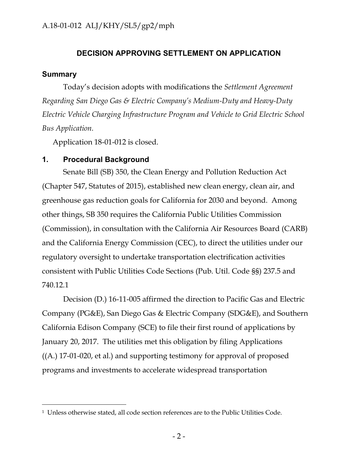#### **DECISION APPROVING SETTLEMENT ON APPLICATION**

#### <span id="page-3-0"></span>**Summary**

 $\overline{a}$ 

Today's decision adopts with modifications the *Settlement Agreement Regarding San Diego Gas & Electric Company's Medium-Duty and Heavy-Duty Electric Vehicle Charging Infrastructure Program and Vehicle to Grid Electric School Bus Application.*

Application 18-01-012 is closed.

#### <span id="page-3-1"></span>**1. Procedural Background**

Senate Bill (SB) 350, the Clean Energy and Pollution Reduction Act (Chapter 547, Statutes of 2015), established new clean energy, clean air, and greenhouse gas reduction goals for California for 2030 and beyond. Among other things, SB 350 requires the California Public Utilities Commission (Commission), in consultation with the California Air Resources Board (CARB) and the California Energy Commission (CEC), to direct the utilities under our regulatory oversight to undertake transportation electrification activities consistent with Public Utilities Code Sections (Pub. Util. Code §§) 237.5 and 740.12.1

Decision (D.) 16-11-005 affirmed the direction to Pacific Gas and Electric Company (PG&E), San Diego Gas & Electric Company (SDG&E), and Southern California Edison Company (SCE) to file their first round of applications by January 20, 2017. The utilities met this obligation by filing Applications ((A.) 17-01-020, et al.) and supporting testimony for approval of proposed programs and investments to accelerate widespread transportation

<sup>1</sup> Unless otherwise stated, all code section references are to the Public Utilities Code.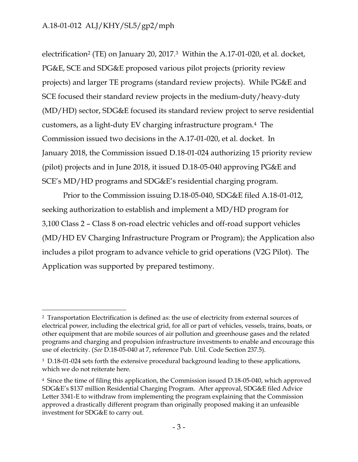$\overline{a}$ 

electrification<sup>2</sup> (TE) on January 20, 2017.<sup>3</sup> Within the A.17-01-020, et al. docket, PG&E, SCE and SDG&E proposed various pilot projects (priority review projects) and larger TE programs (standard review projects). While PG&E and SCE focused their standard review projects in the medium-duty/heavy-duty (MD/HD) sector, SDG&E focused its standard review project to serve residential customers, as a light-duty EV charging infrastructure program.4 The Commission issued two decisions in the A.17-01-020, et al. docket. In January 2018, the Commission issued D.18-01-024 authorizing 15 priority review (pilot) projects and in June 2018, it issued D.18-05-040 approving PG&E and SCE's MD/HD programs and SDG&E's residential charging program.

Prior to the Commission issuing D.18-05-040, SDG&E filed A.18-01-012, seeking authorization to establish and implement a MD/HD program for 3,100 Class 2 – Class 8 on-road electric vehicles and off-road support vehicles (MD/HD EV Charging Infrastructure Program or Program); the Application also includes a pilot program to advance vehicle to grid operations (V2G Pilot). The Application was supported by prepared testimony.

<sup>2</sup> Transportation Electrification is defined as: the use of electricity from external sources of electrical power, including the electrical grid, for all or part of vehicles, vessels, trains, boats, or other equipment that are mobile sources of air pollution and greenhouse gases and the related programs and charging and propulsion infrastructure investments to enable and encourage this use of electricity. (*See* D.18-05-040 at 7, reference Pub. Util. Code Section 237.5).

<sup>&</sup>lt;sup>3</sup> D.18-01-024 sets forth the extensive procedural background leading to these applications, which we do not reiterate here.

<sup>4</sup> Since the time of filing this application, the Commission issued D.18-05-040, which approved SDG&E's \$137 million Residential Charging Program. After approval, SDG&E filed Advice Letter 3341-E to withdraw from implementing the program explaining that the Commission approved a drastically different program than originally proposed making it an unfeasible investment for SDG&E to carry out.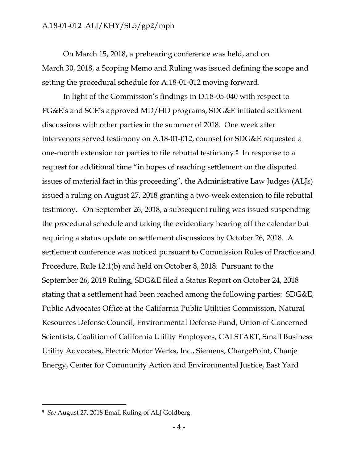On March 15, 2018, a prehearing conference was held, and on March 30, 2018, a Scoping Memo and Ruling was issued defining the scope and setting the procedural schedule for A.18-01-012 moving forward.

In light of the Commission's findings in D.18-05-040 with respect to PG&E's and SCE's approved MD/HD programs, SDG&E initiated settlement discussions with other parties in the summer of 2018. One week after intervenors served testimony on A.18-01-012, counsel for SDG&E requested a one-month extension for parties to file rebuttal testimony.5 In response to a request for additional time "in hopes of reaching settlement on the disputed issues of material fact in this proceeding", the Administrative Law Judges (ALJs) issued a ruling on August 27, 2018 granting a two-week extension to file rebuttal testimony. On September 26, 2018, a subsequent ruling was issued suspending the procedural schedule and taking the evidentiary hearing off the calendar but requiring a status update on settlement discussions by October 26, 2018. A settlement conference was noticed pursuant to Commission Rules of Practice and Procedure, Rule 12.1(b) and held on October 8, 2018. Pursuant to the September 26, 2018 Ruling, SDG&E filed a Status Report on October 24, 2018 stating that a settlement had been reached among the following parties: SDG&E, Public Advocates Office at the California Public Utilities Commission, Natural Resources Defense Council, Environmental Defense Fund, Union of Concerned Scientists, Coalition of California Utility Employees, CALSTART, Small Business Utility Advocates, Electric Motor Werks, Inc., Siemens, ChargePoint, Chanje Energy, Center for Community Action and Environmental Justice, East Yard

<sup>5</sup> *See* August 27, 2018 Email Ruling of ALJ Goldberg.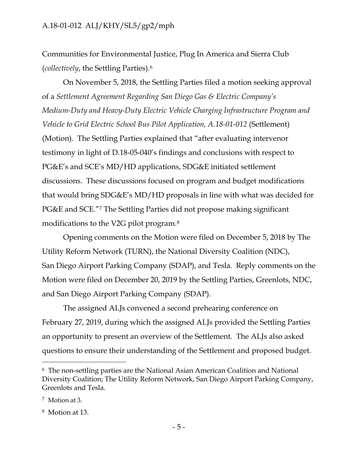Communities for Environmental Justice, Plug In America and Sierra Club (*collectively*, the Settling Parties). 6

On November 5, 2018, the Settling Parties filed a motion seeking approval of a *Settlement Agreement Regarding San Diego Gas & Electric Company's Medium-Duty and Heavy-Duty Electric Vehicle Charging Infrastructure Program and Vehicle to Grid Electric School Bus Pilot Application, A.18-01-012* (Settlement) (Motion). The Settling Parties explained that "after evaluating intervenor testimony in light of D.18-05-040's findings and conclusions with respect to PG&E's and SCE's MD/HD applications, SDG&E initiated settlement discussions. These discussions focused on program and budget modifications that would bring SDG&E's MD/HD proposals in line with what was decided for PG&E and SCE."<sup>7</sup> The Settling Parties did not propose making significant modifications to the V2G pilot program.<sup>8</sup>

Opening comments on the Motion were filed on December 5, 2018 by The Utility Reform Network (TURN), the National Diversity Coalition (NDC), San Diego Airport Parking Company (SDAP), and Tesla. Reply comments on the Motion were filed on December 20, 2019 by the Settling Parties, Greenlots, NDC, and San Diego Airport Parking Company (SDAP).

The assigned ALJs convened a second prehearing conference on February 27, 2019, during which the assigned ALJs provided the Settling Parties an opportunity to present an overview of the Settlement. The ALJs also asked questions to ensure their understanding of the Settlement and proposed budget.

<sup>6</sup> The non-settling parties are the National Asian American Coalition and National Diversity Coalition; The Utility Reform Network, San Diego Airport Parking Company, Greenlots and Tesla.

<sup>7</sup> Motion at 3.

<sup>8</sup> Motion at 13.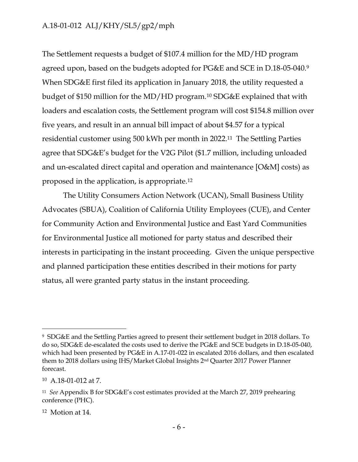The Settlement requests a budget of \$107.4 million for the MD/HD program agreed upon, based on the budgets adopted for PG&E and SCE in D.18-05-040.<sup>9</sup> When SDG&E first filed its application in January 2018, the utility requested a budget of \$150 million for the MD/HD program.<sup>10</sup> SDG&E explained that with loaders and escalation costs, the Settlement program will cost \$154.8 million over five years, and result in an annual bill impact of about \$4.57 for a typical residential customer using 500 kWh per month in 2022.11 The Settling Parties agree that SDG&E's budget for the V2G Pilot (\$1.7 million, including unloaded and un-escalated direct capital and operation and maintenance [O&M] costs) as proposed in the application, is appropriate.<sup>12</sup>

The Utility Consumers Action Network (UCAN), Small Business Utility Advocates (SBUA), Coalition of California Utility Employees (CUE), and Center for Community Action and Environmental Justice and East Yard Communities for Environmental Justice all motioned for party status and described their interests in participating in the instant proceeding. Given the unique perspective and planned participation these entities described in their motions for party status, all were granted party status in the instant proceeding.

<sup>9</sup> SDG&E and the Settling Parties agreed to present their settlement budget in 2018 dollars. To do so, SDG&E de-escalated the costs used to derive the PG&E and SCE budgets in D.18-05-040, which had been presented by PG&E in A.17-01-022 in escalated 2016 dollars, and then escalated them to 2018 dollars using IHS/Market Global Insights 2nd Quarter 2017 Power Planner forecast.

<sup>10</sup> A.18-01-012 at 7.

<sup>11</sup> *See* Appendix B for SDG&E's cost estimates provided at the March 27, 2019 prehearing conference (PHC).

<sup>12</sup> Motion at 14.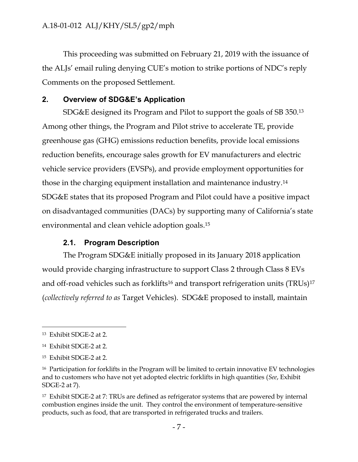This proceeding was submitted on February 21, 2019 with the issuance of the ALJs' email ruling denying CUE's motion to strike portions of NDC's reply Comments on the proposed Settlement.

#### <span id="page-8-0"></span>**2. Overview of SDG&E's Application**

SDG&E designed its Program and Pilot to support the goals of SB 350.<sup>13</sup> Among other things, the Program and Pilot strive to accelerate TE, provide greenhouse gas (GHG) emissions reduction benefits, provide local emissions reduction benefits, encourage sales growth for EV manufacturers and electric vehicle service providers (EVSPs), and provide employment opportunities for those in the charging equipment installation and maintenance industry.<sup>14</sup> SDG&E states that its proposed Program and Pilot could have a positive impact on disadvantaged communities (DACs) by supporting many of California's state environmental and clean vehicle adoption goals. 15

#### **2.1. Program Description**

<span id="page-8-1"></span>The Program SDG&E initially proposed in its January 2018 application would provide charging infrastructure to support Class 2 through Class 8 EVs and off-road vehicles such as forklifts<sup>16</sup> and transport refrigeration units (TRUs)<sup>17</sup> (*collectively referred to as* Target Vehicles). SDG&E proposed to install, maintain

<sup>13</sup> Exhibit SDGE-2 at 2.

<sup>14</sup> Exhibit SDGE-2 at 2.

<sup>15</sup> Exhibit SDGE-2 at 2.

<sup>&</sup>lt;sup>16</sup> Participation for forklifts in the Program will be limited to certain innovative EV technologies and to customers who have not yet adopted electric forklifts in high quantities (*See*, Exhibit SDGE-2 at 7).

<sup>&</sup>lt;sup>17</sup> Exhibit SDGE-2 at 7: TRUs are defined as refrigerator systems that are powered by internal combustion engines inside the unit. They control the environment of temperature-sensitive products, such as food, that are transported in refrigerated trucks and trailers.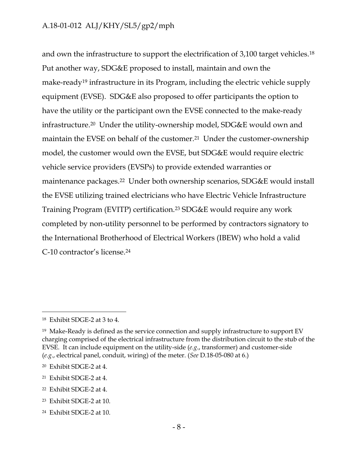and own the infrastructure to support the electrification of 3,100 target vehicles.<sup>18</sup> Put another way, SDG&E proposed to install, maintain and own the make-ready<sup>19</sup> infrastructure in its Program, including the electric vehicle supply equipment (EVSE). SDG&E also proposed to offer participants the option to have the utility or the participant own the EVSE connected to the make-ready infrastructure.20 Under the utility-ownership model, SDG&E would own and maintain the EVSE on behalf of the customer.21 Under the customer-ownership model, the customer would own the EVSE, but SDG&E would require electric vehicle service providers (EVSPs) to provide extended warranties or maintenance packages.22 Under both ownership scenarios, SDG&E would install the EVSE utilizing trained electricians who have Electric Vehicle Infrastructure Training Program (EVITP) certification.<sup>23</sup> SDG&E would require any work completed by non-utility personnel to be performed by contractors signatory to the International Brotherhood of Electrical Workers (IBEW) who hold a valid C-10 contractor's license.<sup>24</sup>

<sup>18</sup> Exhibit SDGE-2 at 3 to 4.

<sup>19</sup> Make-Ready is defined as the service connection and supply infrastructure to support EV charging comprised of the electrical infrastructure from the distribution circuit to the stub of the EVSE. It can include equipment on the utility-side (*e.g*., transformer) and customer-side (*e.g*., electrical panel, conduit, wiring) of the meter. (*See* D.18-05-080 at 6.)

<sup>20</sup> Exhibit SDGE-2 at 4.

<sup>21</sup> Exhibit SDGE-2 at 4.

<sup>22</sup> Exhibit SDGE-2 at 4.

<sup>23</sup> Exhibit SDGE-2 at 10.

<sup>24</sup> Exhibit SDGE-2 at 10.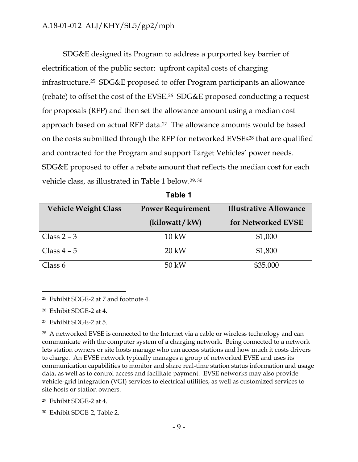SDG&E designed its Program to address a purported key barrier of electrification of the public sector: upfront capital costs of charging infrastructure.25 SDG&E proposed to offer Program participants an allowance (rebate) to offset the cost of the EVSE.26 SDG&E proposed conducting a request for proposals (RFP) and then set the allowance amount using a median cost approach based on actual RFP data.27 The allowance amounts would be based on the costs submitted through the RFP for networked EVSEs <sup>28</sup> that are qualified and contracted for the Program and support Target Vehicles' power needs. SDG&E proposed to offer a rebate amount that reflects the median cost for each vehicle class, as illustrated in Table 1 below. 29, <sup>30</sup>

| <b>Vehicle Weight Class</b> | <b>Power Requirement</b> | <b>Illustrative Allowance</b> |
|-----------------------------|--------------------------|-------------------------------|
|                             | (kilowatt / kW)          | for Networked EVSE            |
| Class $2 - 3$               | $10 \text{ kW}$          | \$1,000                       |
| Class $4-5$                 | $20 \text{ kW}$          | \$1,800                       |
| Class 6                     | 50 kW                    | \$35,000                      |

**Table 1**

<sup>25</sup> Exhibit SDGE-2 at 7 and footnote 4.

<sup>26</sup> Exhibit SDGE-2 at 4.

 $\overline{a}$ 

<sup>27</sup> Exhibit SDGE-2 at 5.

<sup>28</sup> A networked EVSE is connected to the Internet via a cable or wireless technology and can communicate with the computer system of a charging network. Being connected to a network lets station owners or site hosts manage who can access stations and how much it costs drivers to charge. An EVSE network typically manages a group of networked EVSE and uses its communication capabilities to monitor and share real-time station status information and usage data, as well as to control access and facilitate payment. EVSE networks may also provide vehicle-grid integration (VGI) services to electrical utilities, as well as customized services to site hosts or station owners.

<sup>29</sup> Exhibit SDGE-2 at 4.

<sup>30</sup> Exhibit SDGE-2, Table 2.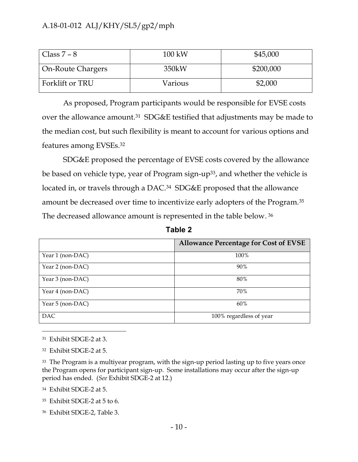| $\vert$ Class 7 – 8      | $100 \text{ kW}$ | \$45,000  |
|--------------------------|------------------|-----------|
| <b>On-Route Chargers</b> | 350kW            | \$200,000 |
| Forklift or TRU          | Various          | \$2,000   |

As proposed, Program participants would be responsible for EVSE costs over the allowance amount.<sup>31</sup> SDG&E testified that adjustments may be made to the median cost, but such flexibility is meant to account for various options and features among EVSEs.<sup>32</sup>

SDG&E proposed the percentage of EVSE costs covered by the allowance be based on vehicle type, year of Program sign-up<sup>33</sup>, and whether the vehicle is located in, or travels through a DAC.<sup>34</sup> SDG&E proposed that the allowance amount be decreased over time to incentivize early adopters of the Program.<sup>35</sup> The decreased allowance amount is represented in the table below. 36

|                  | <b>Allowance Percentage for Cost of EVSE</b> |
|------------------|----------------------------------------------|
| Year 1 (non-DAC) | 100%                                         |
| Year 2 (non-DAC) | 90%                                          |
| Year 3 (non-DAC) | 80%                                          |
| Year 4 (non-DAC) | 70%                                          |
| Year 5 (non-DAC) | 60%                                          |
| <b>DAC</b>       | 100% regardless of year                      |

**Table 2**

<sup>31</sup> Exhibit SDGE-2 at 3.

 $\overline{a}$ 

<sup>32</sup> Exhibit SDGE-2 at 5.

<sup>33</sup> The Program is a multiyear program, with the sign-up period lasting up to five years once the Program opens for participant sign-up. Some installations may occur after the sign-up period has ended. (*See* Exhibit SDGE-2 at 12.)

<sup>34</sup> Exhibit SDGE-2 at 5.

<sup>35</sup> Exhibit SDGE-2 at 5 to 6.

<sup>36</sup> Exhibit SDGE-2, Table 3.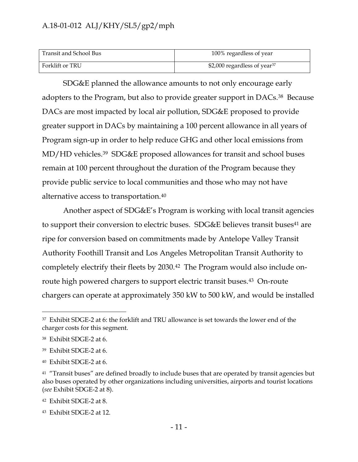| Transit and School Bus | 100% regardless of year                  |
|------------------------|------------------------------------------|
| Forklift or TRU        | \$2,000 regardless of year <sup>37</sup> |

SDG&E planned the allowance amounts to not only encourage early adopters to the Program, but also to provide greater support in DACs.38 Because DACs are most impacted by local air pollution, SDG&E proposed to provide greater support in DACs by maintaining a 100 percent allowance in all years of Program sign-up in order to help reduce GHG and other local emissions from MD/HD vehicles.39 SDG&E proposed allowances for transit and school buses remain at 100 percent throughout the duration of the Program because they provide public service to local communities and those who may not have alternative access to transportation.<sup>40</sup>

Another aspect of SDG&E's Program is working with local transit agencies to support their conversion to electric buses. SDG&E believes transit buses<sup>41</sup> are ripe for conversion based on commitments made by Antelope Valley Transit Authority Foothill Transit and Los Angeles Metropolitan Transit Authority to completely electrify their fleets by 2030.42 The Program would also include onroute high powered chargers to support electric transit buses.<sup>43</sup> On-route chargers can operate at approximately 350 kW to 500 kW, and would be installed

<sup>37</sup> Exhibit SDGE-2 at 6: the forklift and TRU allowance is set towards the lower end of the charger costs for this segment.

<sup>38</sup> Exhibit SDGE-2 at 6.

<sup>39</sup> Exhibit SDGE-2 at 6.

<sup>40</sup> Exhibit SDGE-2 at 6.

<sup>&</sup>lt;sup>41</sup> "Transit buses" are defined broadly to include buses that are operated by transit agencies but also buses operated by other organizations including universities, airports and tourist locations (*see* Exhibit SDGE-2 at 8).

<sup>42</sup> Exhibit SDGE-2 at 8.

<sup>43</sup> Exhibit SDGE-2 at 12.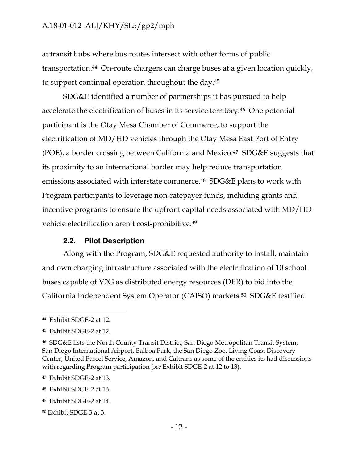at transit hubs where bus routes intersect with other forms of public transportation. <sup>44</sup> On-route chargers can charge buses at a given location quickly, to support continual operation throughout the day.<sup>45</sup>

SDG&E identified a number of partnerships it has pursued to help accelerate the electrification of buses in its service territory.<sup>46</sup> One potential participant is the Otay Mesa Chamber of Commerce, to support the electrification of MD/HD vehicles through the Otay Mesa East Port of Entry (POE), a border crossing between California and Mexico.47 SDG&E suggests that its proximity to an international border may help reduce transportation emissions associated with interstate commerce.<sup>48</sup> SDG&E plans to work with Program participants to leverage non-ratepayer funds, including grants and incentive programs to ensure the upfront capital needs associated with MD/HD vehicle electrification aren't cost-prohibitive. 49

#### **2.2. Pilot Description**

<span id="page-13-0"></span>Along with the Program, SDG&E requested authority to install, maintain and own charging infrastructure associated with the electrification of 10 school buses capable of V2G as distributed energy resources (DER) to bid into the California Independent System Operator (CAISO) markets.50 SDG&E testified

<sup>44</sup> Exhibit SDGE-2 at 12.

<sup>45</sup> Exhibit SDGE-2 at 12.

<sup>46</sup> SDG&E lists the North County Transit District, San Diego Metropolitan Transit System, San Diego International Airport, Balboa Park, the San Diego Zoo, Living Coast Discovery Center, United Parcel Service, Amazon, and Caltrans as some of the entities its had discussions with regarding Program participation (*see* Exhibit SDGE-2 at 12 to 13).

<sup>47</sup> Exhibit SDGE-2 at 13.

<sup>48</sup> Exhibit SDGE-2 at 13.

<sup>49</sup> Exhibit SDGE-2 at 14.

<sup>50</sup> Exhibit SDGE-3 at 3.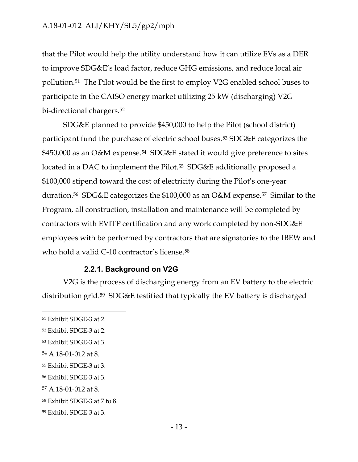that the Pilot would help the utility understand how it can utilize EVs as a DER to improve SDG&E's load factor, reduce GHG emissions, and reduce local air pollution.51 The Pilot would be the first to employ V2G enabled school buses to participate in the CAISO energy market utilizing 25 kW (discharging) V2G bi-directional chargers.<sup>52</sup>

SDG&E planned to provide \$450,000 to help the Pilot (school district) participant fund the purchase of electric school buses.<sup>53</sup> SDG&E categorizes the \$450,000 as an O&M expense.<sup>54</sup> SDG&E stated it would give preference to sites located in a DAC to implement the Pilot. <sup>55</sup> SDG&E additionally proposed a \$100,000 stipend toward the cost of electricity during the Pilot's one-year duration.56 SDG&E categorizes the \$100,000 as an O&M expense.57 Similar to the Program, all construction, installation and maintenance will be completed by contractors with EVITP certification and any work completed by non-SDG&E employees with be performed by contractors that are signatories to the IBEW and who hold a valid C-10 contractor's license.<sup>58</sup>

#### **2.2.1. Background on V2G**

<span id="page-14-0"></span>V2G is the process of discharging energy from an EV battery to the electric distribution grid.59 SDG&E testified that typically the EV battery is discharged

<sup>51</sup> Exhibit SDGE-3 at 2.

<sup>52</sup> Exhibit SDGE-3 at 2.

<sup>53</sup> Exhibit SDGE-3 at 3.

<sup>54</sup> A.18-01-012 at 8.

<sup>55</sup> Exhibit SDGE-3 at 3.

<sup>56</sup> Exhibit SDGE-3 at 3.

<sup>57</sup> A.18-01-012 at 8.

<sup>58</sup> Exhibit SDGE-3 at 7 to 8.

<sup>59</sup> Exhibit SDGE-3 at 3.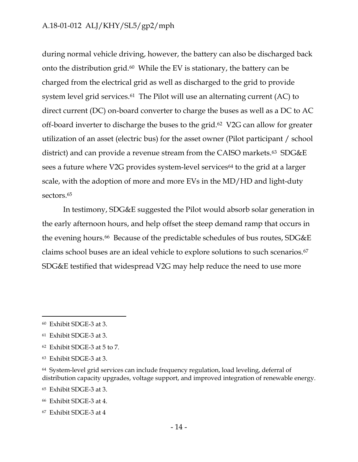during normal vehicle driving, however, the battery can also be discharged back onto the distribution grid.60 While the EV is stationary, the battery can be charged from the electrical grid as well as discharged to the grid to provide system level grid services.<sup>61</sup> The Pilot will use an alternating current (AC) to direct current (DC) on-board converter to charge the buses as well as a DC to AC off-board inverter to discharge the buses to the grid. <sup>62</sup> V2G can allow for greater utilization of an asset (electric bus) for the asset owner (Pilot participant / school district) and can provide a revenue stream from the CAISO markets.<sup>63</sup> SDG&E sees a future where V2G provides system-level services<sup>64</sup> to the grid at a larger scale, with the adoption of more and more EVs in the MD/HD and light-duty sectors. 65

In testimony, SDG&E suggested the Pilot would absorb solar generation in the early afternoon hours, and help offset the steep demand ramp that occurs in the evening hours.<sup>66</sup> Because of the predictable schedules of bus routes, SDG&E claims school buses are an ideal vehicle to explore solutions to such scenarios.<sup>67</sup> SDG&E testified that widespread V2G may help reduce the need to use more

 $\overline{a}$ 

<sup>67</sup> Exhibit SDGE-3 at 4

<sup>60</sup> Exhibit SDGE-3 at 3.

<sup>61</sup> Exhibit SDGE-3 at 3.

<sup>62</sup> Exhibit SDGE-3 at 5 to 7.

<sup>63</sup> Exhibit SDGE-3 at 3.

<sup>64</sup> System-level grid services can include frequency regulation, load leveling, deferral of distribution capacity upgrades, voltage support, and improved integration of renewable energy.

<sup>65</sup> Exhibit SDGE-3 at 3.

<sup>66</sup> Exhibit SDGE-3 at 4.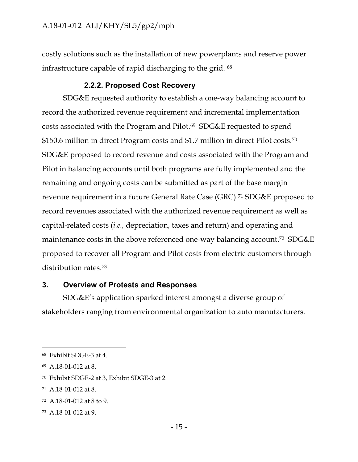costly solutions such as the installation of new powerplants and reserve power infrastructure capable of rapid discharging to the grid. <sup>68</sup>

#### **2.2.2. Proposed Cost Recovery**

<span id="page-16-0"></span>SDG&E requested authority to establish a one-way balancing account to record the authorized revenue requirement and incremental implementation costs associated with the Program and Pilot.69 SDG&E requested to spend \$150.6 million in direct Program costs and \$1.7 million in direct Pilot costs.<sup>70</sup> SDG&E proposed to record revenue and costs associated with the Program and Pilot in balancing accounts until both programs are fully implemented and the remaining and ongoing costs can be submitted as part of the base margin revenue requirement in a future General Rate Case (GRC).<sup>71</sup> SDG&E proposed to record revenues associated with the authorized revenue requirement as well as capital-related costs (*i.e.,* depreciation, taxes and return) and operating and maintenance costs in the above referenced one-way balancing account. <sup>72</sup> SDG&E proposed to recover all Program and Pilot costs from electric customers through distribution rates.<sup>73</sup>

#### <span id="page-16-1"></span>**3. Overview of Protests and Responses**

SDG&E's application sparked interest amongst a diverse group of stakeholders ranging from environmental organization to auto manufacturers.

- <sup>72</sup> A.18-01-012 at 8 to 9.
- <sup>73</sup> A.18-01-012 at 9.

<sup>68</sup> Exhibit SDGE-3 at 4.

<sup>69</sup> A.18-01-012 at 8.

<sup>70</sup> Exhibit SDGE-2 at 3, Exhibit SDGE-3 at 2.

<sup>71</sup> A.18-01-012 at 8.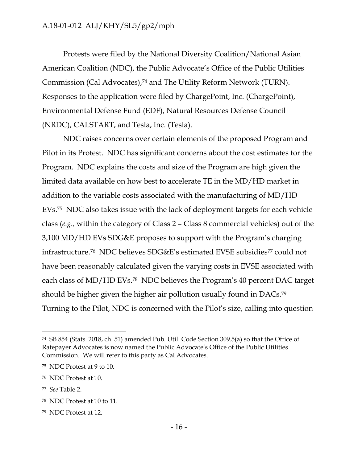Protests were filed by the National Diversity Coalition/National Asian American Coalition (NDC), the Public Advocate's Office of the Public Utilities Commission (Cal Advocates), <sup>74</sup> and The Utility Reform Network (TURN). Responses to the application were filed by ChargePoint, Inc. (ChargePoint), Environmental Defense Fund (EDF), Natural Resources Defense Council (NRDC), CALSTART, and Tesla, Inc. (Tesla).

NDC raises concerns over certain elements of the proposed Program and Pilot in its Protest. NDC has significant concerns about the cost estimates for the Program. NDC explains the costs and size of the Program are high given the limited data available on how best to accelerate TE in the MD/HD market in addition to the variable costs associated with the manufacturing of MD/HD EVs. <sup>75</sup> NDC also takes issue with the lack of deployment targets for each vehicle class (*e.g.,* within the category of Class 2 – Class 8 commercial vehicles) out of the 3,100 MD/HD EVs SDG&E proposes to support with the Program's charging infrastructure.76 NDC believes SDG&E's estimated EVSE subsidies<sup>77</sup> could not have been reasonably calculated given the varying costs in EVSE associated with each class of MD/HD EVs.<sup>78</sup> NDC believes the Program's 40 percent DAC target should be higher given the higher air pollution usually found in DACs.<sup>79</sup> Turning to the Pilot, NDC is concerned with the Pilot's size, calling into question

<sup>74</sup> SB 854 (Stats. 2018, ch. 51) amended Pub. Util. Code Section 309.5(a) so that the Office of Ratepayer Advocates is now named the Public Advocate's Office of the Public Utilities Commission. We will refer to this party as Cal Advocates.

<sup>75</sup> NDC Protest at 9 to 10.

<sup>76</sup> NDC Protest at 10.

<sup>77</sup> *See* Table 2.

<sup>78</sup> NDC Protest at 10 to 11.

<sup>79</sup> NDC Protest at 12.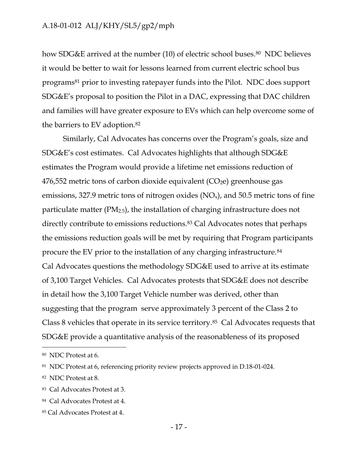how SDG&E arrived at the number (10) of electric school buses.<sup>80</sup> NDC believes it would be better to wait for lessons learned from current electric school bus programs<sup>81</sup> prior to investing ratepayer funds into the Pilot. NDC does support SDG&E's proposal to position the Pilot in a DAC, expressing that DAC children and families will have greater exposure to EVs which can help overcome some of the barriers to EV adoption.<sup>82</sup>

Similarly, Cal Advocates has concerns over the Program's goals, size and SDG&E's cost estimates. Cal Advocates highlights that although SDG&E estimates the Program would provide a lifetime net emissions reduction of  $476,552$  metric tons of carbon dioxide equivalent (CO<sub>2</sub>e) greenhouse gas emissions, 327.9 metric tons of nitrogen oxides  $(NO_x)$ , and 50.5 metric tons of fine particulate matter  $(PM_{2.5})$ , the installation of charging infrastructure does not directly contribute to emissions reductions.<sup>83</sup> Cal Advocates notes that perhaps the emissions reduction goals will be met by requiring that Program participants procure the EV prior to the installation of any charging infrastructure.<sup>84</sup> Cal Advocates questions the methodology SDG&E used to arrive at its estimate of 3,100 Target Vehicles. Cal Advocates protests that SDG&E does not describe in detail how the 3,100 Target Vehicle number was derived, other than suggesting that the program serve approximately 3 percent of the Class 2 to Class 8 vehicles that operate in its service territory.85 Cal Advocates requests that SDG&E provide a quantitative analysis of the reasonableness of its proposed

<sup>80</sup> NDC Protest at 6.

<sup>81</sup> NDC Protest at 6, referencing priority review projects approved in D.18-01-024.

<sup>82</sup> NDC Protest at 8.

<sup>83</sup> Cal Advocates Protest at 3.

<sup>84</sup> Cal Advocates Protest at 4.

<sup>85</sup> Cal Advocates Protest at 4.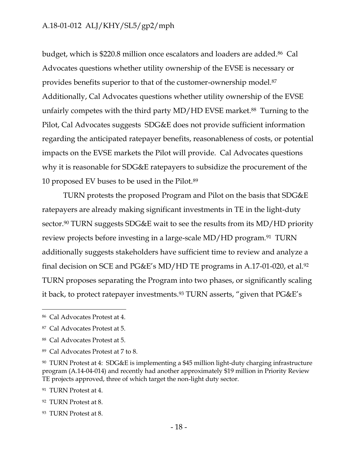budget, which is \$220.8 million once escalators and loaders are added. <sup>86</sup> Cal Advocates questions whether utility ownership of the EVSE is necessary or provides benefits superior to that of the customer-ownership model.<sup>87</sup> Additionally, Cal Advocates questions whether utility ownership of the EVSE unfairly competes with the third party  $MD/HD$  EVSE market.<sup>88</sup> Turning to the Pilot, Cal Advocates suggests SDG&E does not provide sufficient information regarding the anticipated ratepayer benefits, reasonableness of costs, or potential impacts on the EVSE markets the Pilot will provide. Cal Advocates questions why it is reasonable for SDG&E ratepayers to subsidize the procurement of the 10 proposed EV buses to be used in the Pilot.<sup>89</sup>

TURN protests the proposed Program and Pilot on the basis that SDG&E ratepayers are already making significant investments in TE in the light-duty sector.<sup>90</sup> TURN suggests SDG&E wait to see the results from its MD/HD priority review projects before investing in a large-scale MD/HD program.<sup>91</sup> TURN additionally suggests stakeholders have sufficient time to review and analyze a final decision on SCE and PG&E's MD/HD TE programs in A.17-01-020, et al. 92 TURN proposes separating the Program into two phases, or significantly scaling it back, to protect ratepayer investments.<sup>93</sup> TURN asserts, "given that PG&E's

 $\overline{a}$ 

<sup>91</sup> TURN Protest at 4.

<sup>86</sup> Cal Advocates Protest at 4.

<sup>87</sup> Cal Advocates Protest at 5.

<sup>88</sup> Cal Advocates Protest at 5.

<sup>89</sup> Cal Advocates Protest at 7 to 8.

<sup>90</sup> TURN Protest at 4: SDG&E is implementing a \$45 million light-duty charging infrastructure program (A.14-04-014) and recently had another approximately \$19 million in Priority Review TE projects approved, three of which target the non-light duty sector.

<sup>92</sup> TURN Protest at 8.

<sup>93</sup> TURN Protest at 8.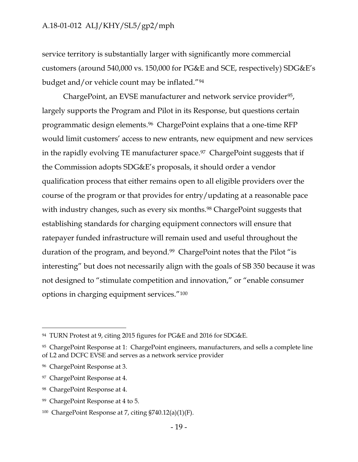service territory is substantially larger with significantly more commercial customers (around 540,000 vs. 150,000 for PG&E and SCE, respectively) SDG&E's budget and/or vehicle count may be inflated."<sup>94</sup>

ChargePoint, an EVSE manufacturer and network service provider<sup>95</sup>, largely supports the Program and Pilot in its Response, but questions certain programmatic design elements. <sup>96</sup> ChargePoint explains that a one-time RFP would limit customers' access to new entrants, new equipment and new services in the rapidly evolving TE manufacturer space.<sup>97</sup> ChargePoint suggests that if the Commission adopts SDG&E's proposals, it should order a vendor qualification process that either remains open to all eligible providers over the course of the program or that provides for entry/updating at a reasonable pace with industry changes, such as every six months.<sup>98</sup> ChargePoint suggests that establishing standards for charging equipment connectors will ensure that ratepayer funded infrastructure will remain used and useful throughout the duration of the program, and beyond.99 ChargePoint notes that the Pilot "is interesting" but does not necessarily align with the goals of SB 350 because it was not designed to "stimulate competition and innovation," or "enable consumer options in charging equipment services."<sup>100</sup>

<sup>94</sup> TURN Protest at 9, citing 2015 figures for PG&E and 2016 for SDG&E.

<sup>95</sup> ChargePoint Response at 1: ChargePoint engineers, manufacturers, and sells a complete line of L2 and DCFC EVSE and serves as a network service provider

<sup>96</sup> ChargePoint Response at 3.

<sup>97</sup> ChargePoint Response at 4.

<sup>98</sup> ChargePoint Response at 4.

<sup>99</sup> ChargePoint Response at 4 to 5.

<sup>&</sup>lt;sup>100</sup> ChargePoint Response at 7, citing  $$740.12(a)(1)(F)$ .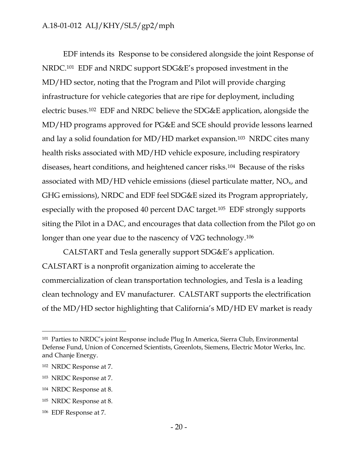EDF intends its Response to be considered alongside the joint Response of NRDC.<sup>101</sup> EDF and NRDC support SDG&E's proposed investment in the MD/HD sector, noting that the Program and Pilot will provide charging infrastructure for vehicle categories that are ripe for deployment, including electric buses.102 EDF and NRDC believe the SDG&E application, alongside the MD/HD programs approved for PG&E and SCE should provide lessons learned and lay a solid foundation for MD/HD market expansion.103 NRDC cites many health risks associated with MD/HD vehicle exposure, including respiratory diseases, heart conditions, and heightened cancer risks.104 Because of the risks associated with MD/HD vehicle emissions (diesel particulate matter,  $NO<sub>x</sub>$ , and GHG emissions), NRDC and EDF feel SDG&E sized its Program appropriately, especially with the proposed 40 percent DAC target.105 EDF strongly supports siting the Pilot in a DAC, and encourages that data collection from the Pilot go on longer than one year due to the nascency of V2G technology.<sup>106</sup>

CALSTART and Tesla generally support SDG&E's application. CALSTART is a nonprofit organization aiming to accelerate the commercialization of clean transportation technologies, and Tesla is a leading clean technology and EV manufacturer. CALSTART supports the electrification of the MD/HD sector highlighting that California's MD/HD EV market is ready

<sup>101</sup> Parties to NRDC's joint Response include Plug In America, Sierra Club, Environmental Defense Fund, Union of Concerned Scientists, Greenlots, Siemens, Electric Motor Werks, Inc. and Chanje Energy.

<sup>102</sup> NRDC Response at 7.

<sup>103</sup> NRDC Response at 7.

<sup>104</sup> NRDC Response at 8.

<sup>105</sup> NRDC Response at 8.

<sup>106</sup> EDF Response at 7.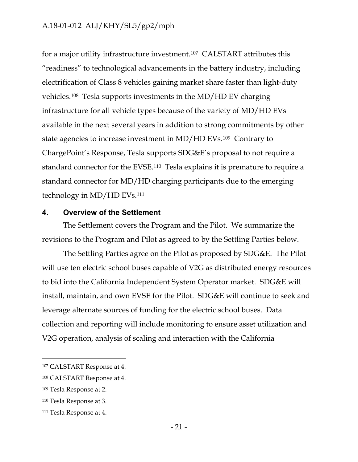for a major utility infrastructure investment.107 CALSTART attributes this "readiness" to technological advancements in the battery industry, including electrification of Class 8 vehicles gaining market share faster than light-duty vehicles.108 Tesla supports investments in the MD/HD EV charging infrastructure for all vehicle types because of the variety of MD/HD EVs available in the next several years in addition to strong commitments by other state agencies to increase investment in MD/HD EVs.109 Contrary to ChargePoint's Response, Tesla supports SDG&E's proposal to not require a standard connector for the EVSE.110 Tesla explains it is premature to require a standard connector for MD/HD charging participants due to the emerging technology in MD/HD EVs.<sup>111</sup>

#### <span id="page-22-0"></span>**4. Overview of the Settlement**

The Settlement covers the Program and the Pilot. We summarize the revisions to the Program and Pilot as agreed to by the Settling Parties below.

The Settling Parties agree on the Pilot as proposed by SDG&E. The Pilot will use ten electric school buses capable of V2G as distributed energy resources to bid into the California Independent System Operator market. SDG&E will install, maintain, and own EVSE for the Pilot. SDG&E will continue to seek and leverage alternate sources of funding for the electric school buses. Data collection and reporting will include monitoring to ensure asset utilization and V2G operation, analysis of scaling and interaction with the California

<sup>107</sup> CALSTART Response at 4.

<sup>108</sup> CALSTART Response at 4.

<sup>109</sup> Tesla Response at 2.

<sup>110</sup> Tesla Response at 3.

<sup>111</sup> Tesla Response at 4.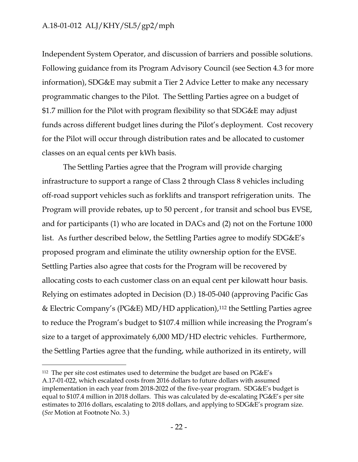$\overline{a}$ 

Independent System Operator, and discussion of barriers and possible solutions. Following guidance from its Program Advisory Council (see Section 4.3 for more information), SDG&E may submit a Tier 2 Advice Letter to make any necessary programmatic changes to the Pilot. The Settling Parties agree on a budget of \$1.7 million for the Pilot with program flexibility so that SDG&E may adjust funds across different budget lines during the Pilot's deployment. Cost recovery for the Pilot will occur through distribution rates and be allocated to customer classes on an equal cents per kWh basis.

The Settling Parties agree that the Program will provide charging infrastructure to support a range of Class 2 through Class 8 vehicles including off-road support vehicles such as forklifts and transport refrigeration units. The Program will provide rebates, up to 50 percent , for transit and school bus EVSE, and for participants (1) who are located in DACs and (2) not on the Fortune 1000 list. As further described below, the Settling Parties agree to modify SDG&E's proposed program and eliminate the utility ownership option for the EVSE. Settling Parties also agree that costs for the Program will be recovered by allocating costs to each customer class on an equal cent per kilowatt hour basis. Relying on estimates adopted in Decision (D.) 18-05-040 (approving Pacific Gas & Electric Company's (PG&E) MD/HD application),<sup>112</sup> the Settling Parties agree to reduce the Program's budget to \$107.4 million while increasing the Program's size to a target of approximately 6,000 MD/HD electric vehicles. Furthermore, the Settling Parties agree that the funding, while authorized in its entirety, will

<sup>112</sup> The per site cost estimates used to determine the budget are based on PG&E's A.17-01-022, which escalated costs from 2016 dollars to future dollars with assumed implementation in each year from 2018-2022 of the five-year program. SDG&E's budget is equal to \$107.4 million in 2018 dollars. This was calculated by de-escalating PG&E's per site estimates to 2016 dollars, escalating to 2018 dollars, and applying to SDG&E's program size. (*See* Motion at Footnote No. 3.)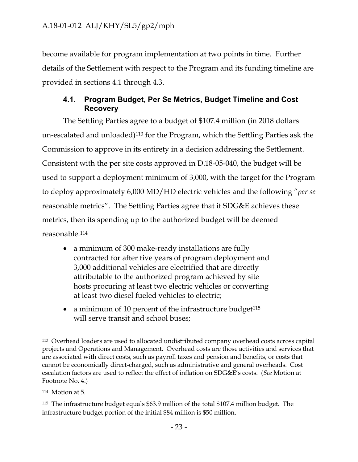become available for program implementation at two points in time. Further details of the Settlement with respect to the Program and its funding timeline are provided in sections 4.1 through 4.3.

#### <span id="page-24-0"></span>**4.1. Program Budget, Per Se Metrics, Budget Timeline and Cost Recovery**

The Settling Parties agree to a budget of \$107.4 million (in 2018 dollars un-escalated and unloaded)<sup>113</sup> for the Program, which the Settling Parties ask the Commission to approve in its entirety in a decision addressing the Settlement. Consistent with the per site costs approved in D.18-05-040, the budget will be used to support a deployment minimum of 3,000, with the target for the Program to deploy approximately 6,000 MD/HD electric vehicles and the following "*per se* reasonable metrics". The Settling Parties agree that if SDG&E achieves these metrics, then its spending up to the authorized budget will be deemed reasonable.<sup>114</sup>

- a minimum of 300 make-ready installations are fully contracted for after five years of program deployment and 3,000 additional vehicles are electrified that are directly attributable to the authorized program achieved by site hosts procuring at least two electric vehicles or converting at least two diesel fueled vehicles to electric;
- a minimum of 10 percent of the infrastructure budget<sup>115</sup> will serve transit and school buses;

<sup>113</sup> Overhead loaders are used to allocated undistributed company overhead costs across capital projects and Operations and Management. Overhead costs are those activities and services that are associated with direct costs, such as payroll taxes and pension and benefits, or costs that cannot be economically direct-charged, such as administrative and general overheads. Cost escalation factors are used to reflect the effect of inflation on SDG&E's costs. (*See* Motion at Footnote No. 4.)

<sup>114</sup> Motion at 5.

<sup>115</sup> The infrastructure budget equals \$63.9 million of the total \$107.4 million budget. The infrastructure budget portion of the initial \$84 million is \$50 million.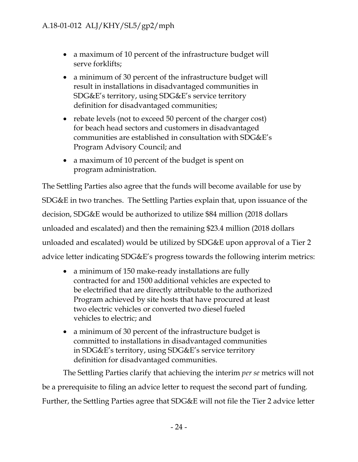- a maximum of 10 percent of the infrastructure budget will serve forklifts;
- a minimum of 30 percent of the infrastructure budget will result in installations in disadvantaged communities in SDG&E's territory, using SDG&E's service territory definition for disadvantaged communities;
- rebate levels (not to exceed 50 percent of the charger cost) for beach head sectors and customers in disadvantaged communities are established in consultation with SDG&E's Program Advisory Council; and
- a maximum of 10 percent of the budget is spent on program administration.

The Settling Parties also agree that the funds will become available for use by SDG&E in two tranches. The Settling Parties explain that, upon issuance of the decision, SDG&E would be authorized to utilize \$84 million (2018 dollars unloaded and escalated) and then the remaining \$23.4 million (2018 dollars unloaded and escalated) would be utilized by SDG&E upon approval of a Tier 2 advice letter indicating SDG&E's progress towards the following interim metrics:

- a minimum of 150 make-ready installations are fully contracted for and 1500 additional vehicles are expected to be electrified that are directly attributable to the authorized Program achieved by site hosts that have procured at least two electric vehicles or converted two diesel fueled vehicles to electric; and
- a minimum of 30 percent of the infrastructure budget is committed to installations in disadvantaged communities in SDG&E's territory, using SDG&E's service territory definition for disadvantaged communities.

The Settling Parties clarify that achieving the interim *per se* metrics will not be a prerequisite to filing an advice letter to request the second part of funding. Further, the Settling Parties agree that SDG&E will not file the Tier 2 advice letter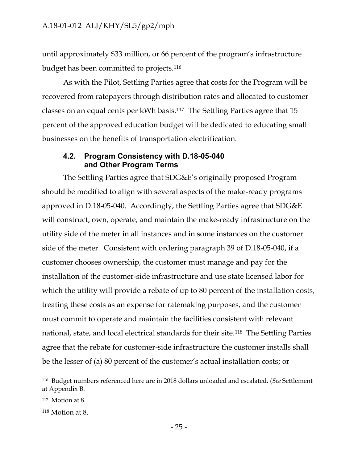until approximately \$33 million, or 66 percent of the program's infrastructure budget has been committed to projects.<sup>116</sup>

As with the Pilot, Settling Parties agree that costs for the Program will be recovered from ratepayers through distribution rates and allocated to customer classes on an equal cents per kWh basis.117 The Settling Parties agree that 15 percent of the approved education budget will be dedicated to educating small businesses on the benefits of transportation electrification.

#### <span id="page-26-0"></span>**4.2. Program Consistency with D.18-05-040 and Other Program Terms**

The Settling Parties agree that SDG&E's originally proposed Program should be modified to align with several aspects of the make-ready programs approved in D.18-05-040. Accordingly, the Settling Parties agree that SDG&E will construct, own, operate, and maintain the make-ready infrastructure on the utility side of the meter in all instances and in some instances on the customer side of the meter. Consistent with ordering paragraph 39 of D.18-05-040, if a customer chooses ownership, the customer must manage and pay for the installation of the customer-side infrastructure and use state licensed labor for which the utility will provide a rebate of up to 80 percent of the installation costs, treating these costs as an expense for ratemaking purposes, and the customer must commit to operate and maintain the facilities consistent with relevant national, state, and local electrical standards for their site.118 The Settling Parties agree that the rebate for customer-side infrastructure the customer installs shall be the lesser of (a) 80 percent of the customer's actual installation costs; or

<sup>116</sup> Budget numbers referenced here are in 2018 dollars unloaded and escalated. (*See* Settlement at Appendix B.

<sup>117</sup> Motion at 8.

<sup>118</sup> Motion at 8.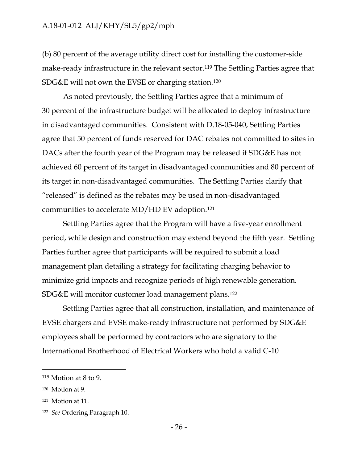(b) 80 percent of the average utility direct cost for installing the customer-side make-ready infrastructure in the relevant sector.<sup>119</sup> The Settling Parties agree that SDG&E will not own the EVSE or charging station.<sup>120</sup>

As noted previously, the Settling Parties agree that a minimum of 30 percent of the infrastructure budget will be allocated to deploy infrastructure in disadvantaged communities. Consistent with D.18-05-040, Settling Parties agree that 50 percent of funds reserved for DAC rebates not committed to sites in DACs after the fourth year of the Program may be released if SDG&E has not achieved 60 percent of its target in disadvantaged communities and 80 percent of its target in non-disadvantaged communities. The Settling Parties clarify that "released" is defined as the rebates may be used in non-disadvantaged communities to accelerate MD/HD EV adoption.<sup>121</sup>

Settling Parties agree that the Program will have a five-year enrollment period, while design and construction may extend beyond the fifth year. Settling Parties further agree that participants will be required to submit a load management plan detailing a strategy for facilitating charging behavior to minimize grid impacts and recognize periods of high renewable generation. SDG&E will monitor customer load management plans.<sup>122</sup>

Settling Parties agree that all construction, installation, and maintenance of EVSE chargers and EVSE make-ready infrastructure not performed by SDG&E employees shall be performed by contractors who are signatory to the International Brotherhood of Electrical Workers who hold a valid C-10

<sup>119</sup> Motion at 8 to 9.

<sup>120</sup> Motion at 9.

<sup>121</sup> Motion at 11.

<sup>122</sup> *See* Ordering Paragraph 10.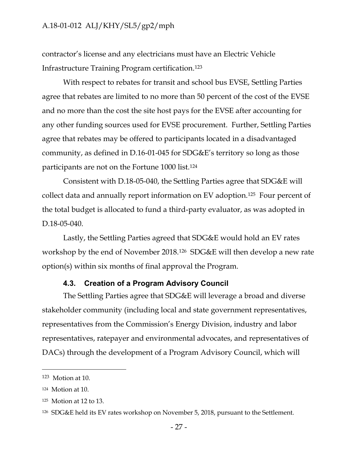contractor's license and any electricians must have an Electric Vehicle Infrastructure Training Program certification.<sup>123</sup>

With respect to rebates for transit and school bus EVSE, Settling Parties agree that rebates are limited to no more than 50 percent of the cost of the EVSE and no more than the cost the site host pays for the EVSE after accounting for any other funding sources used for EVSE procurement. Further, Settling Parties agree that rebates may be offered to participants located in a disadvantaged community, as defined in D.16-01-045 for SDG&E's territory so long as those participants are not on the Fortune 1000 list.<sup>124</sup>

Consistent with D.18-05-040, the Settling Parties agree that SDG&E will collect data and annually report information on EV adoption.125 Four percent of the total budget is allocated to fund a third-party evaluator, as was adopted in D.18-05-040.

Lastly, the Settling Parties agreed that SDG&E would hold an EV rates workshop by the end of November 2018.126 SDG&E will then develop a new rate option(s) within six months of final approval the Program.

#### **4.3. Creation of a Program Advisory Council**

<span id="page-28-0"></span>The Settling Parties agree that SDG&E will leverage a broad and diverse stakeholder community (including local and state government representatives, representatives from the Commission's Energy Division, industry and labor representatives, ratepayer and environmental advocates, and representatives of DACs) through the development of a Program Advisory Council, which will

<sup>123</sup> Motion at 10.

<sup>124</sup> Motion at 10.

<sup>125</sup> Motion at 12 to 13.

<sup>126</sup> SDG&E held its EV rates workshop on November 5, 2018, pursuant to the Settlement.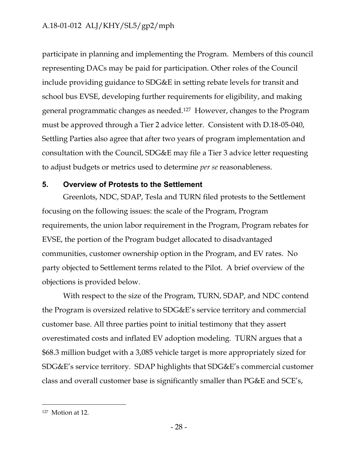participate in planning and implementing the Program. Members of this council representing DACs may be paid for participation. Other roles of the Council include providing guidance to SDG&E in setting rebate levels for transit and school bus EVSE, developing further requirements for eligibility, and making general programmatic changes as needed.127 However, changes to the Program must be approved through a Tier 2 advice letter. Consistent with D.18-05-040, Settling Parties also agree that after two years of program implementation and consultation with the Council, SDG&E may file a Tier 3 advice letter requesting to adjust budgets or metrics used to determine *per se* reasonableness.

#### <span id="page-29-0"></span>**5. Overview of Protests to the Settlement**

Greenlots, NDC, SDAP, Tesla and TURN filed protests to the Settlement focusing on the following issues: the scale of the Program, Program requirements, the union labor requirement in the Program, Program rebates for EVSE, the portion of the Program budget allocated to disadvantaged communities, customer ownership option in the Program, and EV rates. No party objected to Settlement terms related to the Pilot. A brief overview of the objections is provided below.

With respect to the size of the Program, TURN, SDAP, and NDC contend the Program is oversized relative to SDG&E's service territory and commercial customer base. All three parties point to initial testimony that they assert overestimated costs and inflated EV adoption modeling. TURN argues that a \$68.3 million budget with a 3,085 vehicle target is more appropriately sized for SDG&E's service territory. SDAP highlights that SDG&E's commercial customer class and overall customer base is significantly smaller than PG&E and SCE's,

<sup>127</sup> Motion at 12.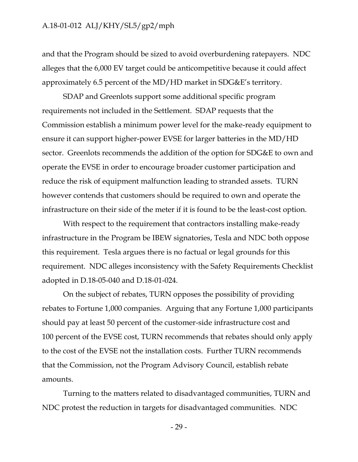and that the Program should be sized to avoid overburdening ratepayers. NDC alleges that the 6,000 EV target could be anticompetitive because it could affect approximately 6.5 percent of the MD/HD market in SDG&E's territory.

SDAP and Greenlots support some additional specific program requirements not included in the Settlement. SDAP requests that the Commission establish a minimum power level for the make-ready equipment to ensure it can support higher-power EVSE for larger batteries in the MD/HD sector. Greenlots recommends the addition of the option for SDG&E to own and operate the EVSE in order to encourage broader customer participation and reduce the risk of equipment malfunction leading to stranded assets. TURN however contends that customers should be required to own and operate the infrastructure on their side of the meter if it is found to be the least-cost option.

With respect to the requirement that contractors installing make-ready infrastructure in the Program be IBEW signatories, Tesla and NDC both oppose this requirement. Tesla argues there is no factual or legal grounds for this requirement. NDC alleges inconsistency with the Safety Requirements Checklist adopted in D.18-05-040 and D.18-01-024.

On the subject of rebates, TURN opposes the possibility of providing rebates to Fortune 1,000 companies. Arguing that any Fortune 1,000 participants should pay at least 50 percent of the customer-side infrastructure cost and 100 percent of the EVSE cost, TURN recommends that rebates should only apply to the cost of the EVSE not the installation costs. Further TURN recommends that the Commission, not the Program Advisory Council, establish rebate amounts.

Turning to the matters related to disadvantaged communities, TURN and NDC protest the reduction in targets for disadvantaged communities. NDC

- 29 -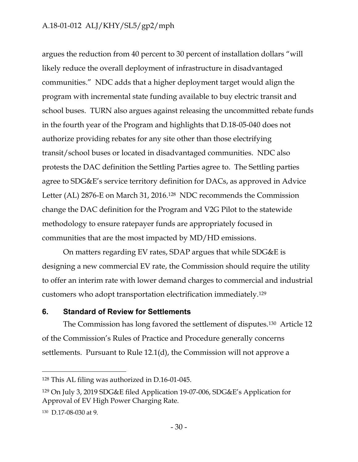argues the reduction from 40 percent to 30 percent of installation dollars "will likely reduce the overall deployment of infrastructure in disadvantaged communities." NDC adds that a higher deployment target would align the program with incremental state funding available to buy electric transit and school buses. TURN also argues against releasing the uncommitted rebate funds in the fourth year of the Program and highlights that D.18-05-040 does not authorize providing rebates for any site other than those electrifying transit/school buses or located in disadvantaged communities. NDC also protests the DAC definition the Settling Parties agree to. The Settling parties agree to SDG&E's service territory definition for DACs, as approved in Advice Letter (AL) 2876-E on March 31, 2016.128 NDC recommends the Commission change the DAC definition for the Program and V2G Pilot to the statewide methodology to ensure ratepayer funds are appropriately focused in communities that are the most impacted by MD/HD emissions.

On matters regarding EV rates, SDAP argues that while SDG&E is designing a new commercial EV rate, the Commission should require the utility to offer an interim rate with lower demand charges to commercial and industrial customers who adopt transportation electrification immediately.<sup>129</sup>

#### <span id="page-31-0"></span>**6. Standard of Review for Settlements**

The Commission has long favored the settlement of disputes.130 Article 12 of the Commission's Rules of Practice and Procedure generally concerns settlements. Pursuant to Rule 12.1(d), the Commission will not approve a

<sup>128</sup> This AL filing was authorized in D.16-01-045.

<sup>129</sup> On July 3, 2019 SDG&E filed Application 19-07-006, SDG&E's Application for Approval of EV High Power Charging Rate.

<sup>130</sup> D.17-08-030 at 9.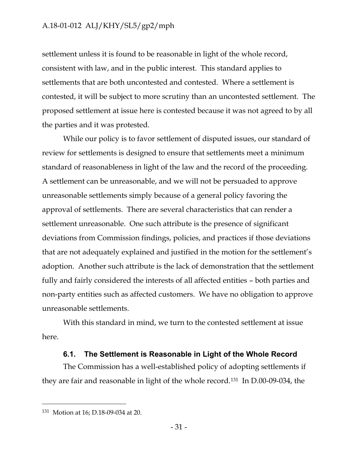settlement unless it is found to be reasonable in light of the whole record, consistent with law, and in the public interest. This standard applies to settlements that are both uncontested and contested. Where a settlement is contested, it will be subject to more scrutiny than an uncontested settlement. The proposed settlement at issue here is contested because it was not agreed to by all the parties and it was protested.

While our policy is to favor settlement of disputed issues, our standard of review for settlements is designed to ensure that settlements meet a minimum standard of reasonableness in light of the law and the record of the proceeding. A settlement can be unreasonable, and we will not be persuaded to approve unreasonable settlements simply because of a general policy favoring the approval of settlements. There are several characteristics that can render a settlement unreasonable. One such attribute is the presence of significant deviations from Commission findings, policies, and practices if those deviations that are not adequately explained and justified in the motion for the settlement's adoption. Another such attribute is the lack of demonstration that the settlement fully and fairly considered the interests of all affected entities – both parties and non-party entities such as affected customers. We have no obligation to approve unreasonable settlements.

With this standard in mind, we turn to the contested settlement at issue here.

#### **6.1. The Settlement is Reasonable in Light of the Whole Record**

<span id="page-32-0"></span>The Commission has a well-established policy of adopting settlements if they are fair and reasonable in light of the whole record.131 In D.00-09-034, the

<sup>131</sup> Motion at 16; D.18-09-034 at 20.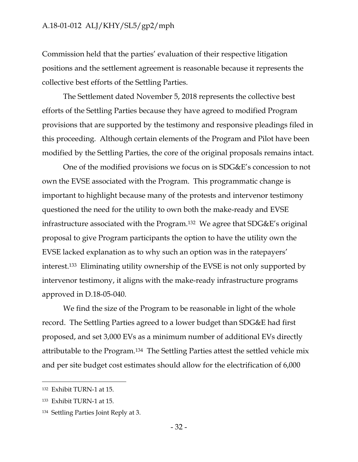Commission held that the parties' evaluation of their respective litigation positions and the settlement agreement is reasonable because it represents the collective best efforts of the Settling Parties.

The Settlement dated November 5, 2018 represents the collective best efforts of the Settling Parties because they have agreed to modified Program provisions that are supported by the testimony and responsive pleadings filed in this proceeding. Although certain elements of the Program and Pilot have been modified by the Settling Parties, the core of the original proposals remains intact.

One of the modified provisions we focus on is SDG&E's concession to not own the EVSE associated with the Program. This programmatic change is important to highlight because many of the protests and intervenor testimony questioned the need for the utility to own both the make-ready and EVSE infrastructure associated with the Program.<sup>132</sup> We agree that SDG&E's original proposal to give Program participants the option to have the utility own the EVSE lacked explanation as to why such an option was in the ratepayers' interest.133 Eliminating utility ownership of the EVSE is not only supported by intervenor testimony, it aligns with the make-ready infrastructure programs approved in D.18-05-040.

We find the size of the Program to be reasonable in light of the whole record. The Settling Parties agreed to a lower budget than SDG&E had first proposed, and set 3,000 EVs as a minimum number of additional EVs directly attributable to the Program.134 The Settling Parties attest the settled vehicle mix and per site budget cost estimates should allow for the electrification of 6,000

<sup>132</sup> Exhibit TURN-1 at 15.

<sup>133</sup> Exhibit TURN-1 at 15.

<sup>134</sup> Settling Parties Joint Reply at 3.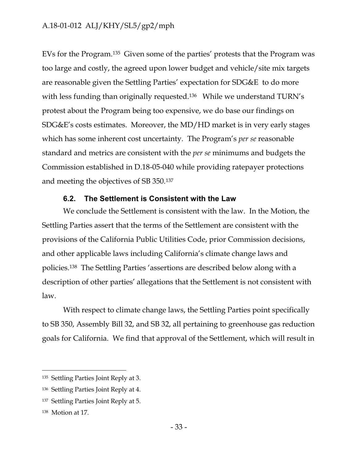EVs for the Program.135 Given some of the parties' protests that the Program was too large and costly, the agreed upon lower budget and vehicle/site mix targets are reasonable given the Settling Parties' expectation for SDG&E to do more with less funding than originally requested.<sup>136</sup> While we understand TURN's protest about the Program being too expensive, we do base our findings on SDG&E's costs estimates. Moreover, the MD/HD market is in very early stages which has some inherent cost uncertainty. The Program's *per se* reasonable standard and metrics are consistent with the *per se* minimums and budgets the Commission established in D.18-05-040 while providing ratepayer protections and meeting the objectives of SB 350.<sup>137</sup>

#### **6.2. The Settlement is Consistent with the Law**

<span id="page-34-0"></span>We conclude the Settlement is consistent with the law. In the Motion, the Settling Parties assert that the terms of the Settlement are consistent with the provisions of the California Public Utilities Code, prior Commission decisions, and other applicable laws including California's climate change laws and policies.138 The Settling Parties 'assertions are described below along with a description of other parties' allegations that the Settlement is not consistent with law.

With respect to climate change laws, the Settling Parties point specifically to SB 350, Assembly Bill 32, and SB 32, all pertaining to greenhouse gas reduction goals for California. We find that approval of the Settlement, which will result in

<sup>135</sup> Settling Parties Joint Reply at 3.

<sup>136</sup> Settling Parties Joint Reply at 4.

<sup>137</sup> Settling Parties Joint Reply at 5.

<sup>138</sup> Motion at 17.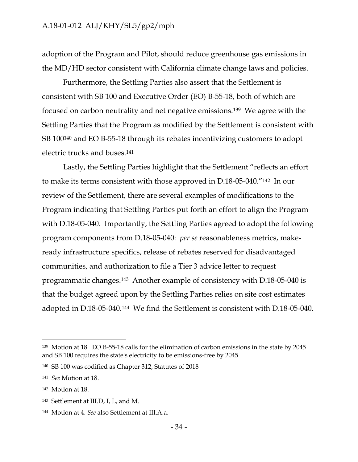adoption of the Program and Pilot, should reduce greenhouse gas emissions in the MD/HD sector consistent with California climate change laws and policies.

Furthermore, the Settling Parties also assert that the Settlement is consistent with SB 100 and Executive Order (EO) B-55-18, both of which are focused on carbon neutrality and net negative emissions.139 We agree with the Settling Parties that the Program as modified by the Settlement is consistent with SB 100<sup>140</sup> and EO B-55-18 through its rebates incentivizing customers to adopt electric trucks and buses.<sup>141</sup>

Lastly, the Settling Parties highlight that the Settlement "reflects an effort to make its terms consistent with those approved in D.18-05-040."142 In our review of the Settlement, there are several examples of modifications to the Program indicating that Settling Parties put forth an effort to align the Program with D.18-05-040. Importantly, the Settling Parties agreed to adopt the following program components from D.18-05-040: *per se* reasonableness metrics, makeready infrastructure specifics, release of rebates reserved for disadvantaged communities, and authorization to file a Tier 3 advice letter to request programmatic changes.143 Another example of consistency with D.18-05-040 is that the budget agreed upon by the Settling Parties relies on site cost estimates adopted in D.18-05-040.144 We find the Settlement is consistent with D.18-05-040.

<sup>139</sup> Motion at 18. EO B-55-18 calls for the elimination of carbon emissions in the state by 2045 and SB 100 requires the state's electricity to be emissions-free by 2045

<sup>140</sup> SB 100 was codified as Chapter 312, Statutes of 2018

<sup>141</sup> *See* Motion at 18.

<sup>142</sup> Motion at 18.

<sup>143</sup> Settlement at III.D, I, L, and M.

<sup>144</sup> Motion at 4. *See* also Settlement at III.A.a.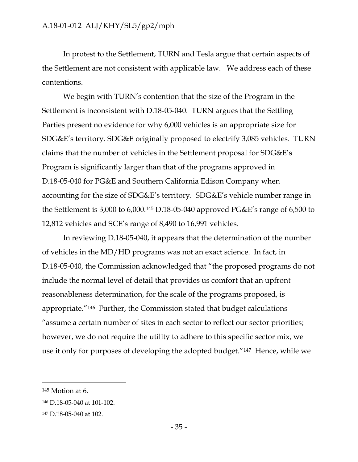In protest to the Settlement, TURN and Tesla argue that certain aspects of the Settlement are not consistent with applicable law. We address each of these contentions.

We begin with TURN's contention that the size of the Program in the Settlement is inconsistent with D.18-05-040. TURN argues that the Settling Parties present no evidence for why 6,000 vehicles is an appropriate size for SDG&E's territory. SDG&E originally proposed to electrify 3,085 vehicles. TURN claims that the number of vehicles in the Settlement proposal for SDG&E's Program is significantly larger than that of the programs approved in D.18-05-040 for PG&E and Southern California Edison Company when accounting for the size of SDG&E's territory. SDG&E's vehicle number range in the Settlement is 3,000 to 6,000. <sup>145</sup> D.18-05-040 approved PG&E's range of 6,500 to 12,812 vehicles and SCE's range of 8,490 to 16,991 vehicles.

In reviewing D.18-05-040, it appears that the determination of the number of vehicles in the MD/HD programs was not an exact science. In fact, in D.18-05-040, the Commission acknowledged that "the proposed programs do not include the normal level of detail that provides us comfort that an upfront reasonableness determination, for the scale of the programs proposed, is appropriate."146 Further, the Commission stated that budget calculations "assume a certain number of sites in each sector to reflect our sector priorities; however, we do not require the utility to adhere to this specific sector mix, we use it only for purposes of developing the adopted budget."147 Hence, while we

<sup>145</sup> Motion at 6.

<sup>146</sup> D.18-05-040 at 101-102.

<sup>147</sup> D.18-05-040 at 102.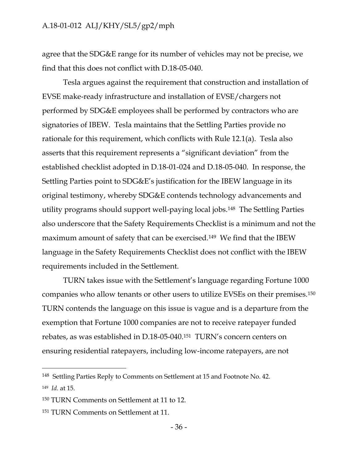agree that the SDG&E range for its number of vehicles may not be precise, we find that this does not conflict with D.18-05-040.

Tesla argues against the requirement that construction and installation of EVSE make-ready infrastructure and installation of EVSE/chargers not performed by SDG&E employees shall be performed by contractors who are signatories of IBEW. Tesla maintains that the Settling Parties provide no rationale for this requirement, which conflicts with Rule 12.1(a). Tesla also asserts that this requirement represents a "significant deviation" from the established checklist adopted in D.18-01-024 and D.18-05-040. In response, the Settling Parties point to SDG&E's justification for the IBEW language in its original testimony, whereby SDG&E contends technology advancements and utility programs should support well-paying local jobs.148 The Settling Parties also underscore that the Safety Requirements Checklist is a minimum and not the maximum amount of safety that can be exercised.149 We find that the IBEW language in the Safety Requirements Checklist does not conflict with the IBEW requirements included in the Settlement.

TURN takes issue with the Settlement's language regarding Fortune 1000 companies who allow tenants or other users to utilize EVSEs on their premises.<sup>150</sup> TURN contends the language on this issue is vague and is a departure from the exemption that Fortune 1000 companies are not to receive ratepayer funded rebates, as was established in D.18-05-040.<sup>151</sup> TURN's concern centers on ensuring residential ratepayers, including low-income ratepayers, are not

<sup>148</sup> Settling Parties Reply to Comments on Settlement at 15 and Footnote No. 42.

<sup>149</sup> *Id.* at 15.

<sup>150</sup> TURN Comments on Settlement at 11 to 12.

<sup>151</sup> TURN Comments on Settlement at 11.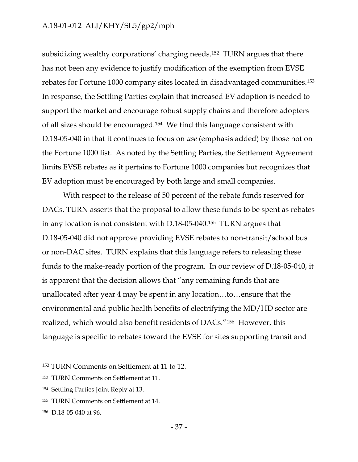subsidizing wealthy corporations' charging needs.152 TURN argues that there has not been any evidence to justify modification of the exemption from EVSE rebates for Fortune 1000 company sites located in disadvantaged communities.<sup>153</sup> In response, the Settling Parties explain that increased EV adoption is needed to support the market and encourage robust supply chains and therefore adopters of all sizes should be encouraged.154 We find this language consistent with D.18-05-040 in that it continues to focus on *use* (emphasis added) by those not on the Fortune 1000 list. As noted by the Settling Parties, the Settlement Agreement limits EVSE rebates as it pertains to Fortune 1000 companies but recognizes that EV adoption must be encouraged by both large and small companies.

With respect to the release of 50 percent of the rebate funds reserved for DACs, TURN asserts that the proposal to allow these funds to be spent as rebates in any location is not consistent with D.18-05-040.155 TURN argues that D.18-05-040 did not approve providing EVSE rebates to non-transit/school bus or non-DAC sites. TURN explains that this language refers to releasing these funds to the make-ready portion of the program. In our review of D.18-05-040, it is apparent that the decision allows that "any remaining funds that are unallocated after year 4 may be spent in any location…to…ensure that the environmental and public health benefits of electrifying the MD/HD sector are realized, which would also benefit residents of DACs."156 However, this language is specific to rebates toward the EVSE for sites supporting transit and

<sup>152</sup> TURN Comments on Settlement at 11 to 12.

<sup>153</sup> TURN Comments on Settlement at 11.

<sup>154</sup> Settling Parties Joint Reply at 13.

<sup>155</sup> TURN Comments on Settlement at 14.

<sup>156</sup> D.18-05-040 at 96.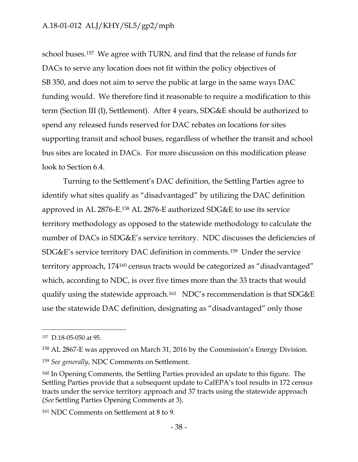school buses.157 We agree with TURN, and find that the release of funds for DACs to serve any location does not fit within the policy objectives of SB 350, and does not aim to serve the public at large in the same ways DAC funding would. We therefore find it reasonable to require a modification to this term (Section III (I), Settlement). After 4 years, SDG&E should be authorized to spend any released funds reserved for DAC rebates on locations for sites supporting transit and school buses, regardless of whether the transit and school bus sites are located in DACs. For more discussion on this modification please look to Section 6.4.

Turning to the Settlement's DAC definition, the Settling Parties agree to identify what sites qualify as "disadvantaged" by utilizing the DAC definition approved in AL 2876-E. <sup>158</sup> AL 2876-E authorized SDG&E to use its service territory methodology as opposed to the statewide methodology to calculate the number of DACs in SDG&E's service territory. NDC discusses the deficiencies of SDG&E's service territory DAC definition in comments.159 Under the service territory approach, 174<sup>160</sup> census tracts would be categorized as "disadvantaged" which, according to NDC, is over five times more than the 33 tracts that would qualify using the statewide approach. <sup>161</sup> NDC's recommendation is that SDG&E use the statewide DAC definition, designating as "disadvantaged" only those

<sup>157</sup> D.18-05-050 at 95.

<sup>158</sup> AL 2867-E was approved on March 31, 2016 by the Commission's Energy Division.

<sup>159</sup> *See generally*, NDC Comments on Settlement.

<sup>160</sup> In Opening Comments, the Settling Parties provided an update to this figure. The Settling Parties provide that a subsequent update to CalEPA's tool results in 172 census tracts under the service territory approach and 37 tracts using the statewide approach (*See* Settling Parties Opening Comments at 3).

<sup>161</sup> NDC Comments on Settlement at 8 to 9.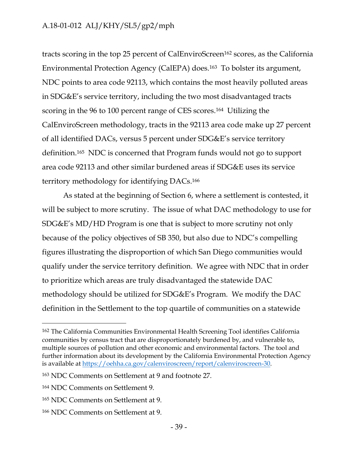tracts scoring in the top 25 percent of CalEnviroScreen<sup>162</sup> scores, as the California Environmental Protection Agency (CalEPA) does.163 To bolster its argument, NDC points to area code 92113, which contains the most heavily polluted areas in SDG&E's service territory, including the two most disadvantaged tracts scoring in the 96 to 100 percent range of CES scores.164 Utilizing the CalEnviroScreen methodology, tracts in the 92113 area code make up 27 percent of all identified DACs, versus 5 percent under SDG&E's service territory definition. <sup>165</sup> NDC is concerned that Program funds would not go to support area code 92113 and other similar burdened areas if SDG&E uses its service territory methodology for identifying DACs. <sup>166</sup>

As stated at the beginning of Section 6, where a settlement is contested, it will be subject to more scrutiny. The issue of what DAC methodology to use for SDG&E's MD/HD Program is one that is subject to more scrutiny not only because of the policy objectives of SB 350, but also due to NDC's compelling figures illustrating the disproportion of which San Diego communities would qualify under the service territory definition. We agree with NDC that in order to prioritize which areas are truly disadvantaged the statewide DAC methodology should be utilized for SDG&E's Program. We modify the DAC definition in the Settlement to the top quartile of communities on a statewide

<sup>162</sup> The California Communities Environmental Health Screening Tool identifies California communities by census tract that are disproportionately burdened by, and vulnerable to, multiple sources of pollution and other economic and environmental factors. The tool and further information about its development by the California Environmental Protection Agency is available at [https://oehha.ca.gov/calenviroscreen/report/calenviroscreen-30.](https://oehha.ca.gov/calenviroscreen/report/calenviroscreen-30)

<sup>163</sup> NDC Comments on Settlement at 9 and footnote 27.

<sup>164</sup> NDC Comments on Settlement 9.

<sup>165</sup> NDC Comments on Settlement at 9.

<sup>166</sup> NDC Comments on Settlement at 9.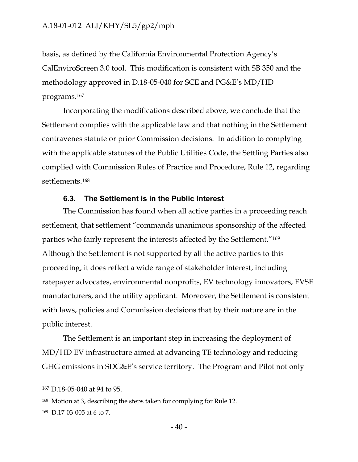basis, as defined by the California Environmental Protection Agency's CalEnviroScreen 3.0 tool. This modification is consistent with SB 350 and the methodology approved in D.18-05-040 for SCE and PG&E's MD/HD programs.<sup>167</sup>

Incorporating the modifications described above, we conclude that the Settlement complies with the applicable law and that nothing in the Settlement contravenes statute or prior Commission decisions. In addition to complying with the applicable statutes of the Public Utilities Code, the Settling Parties also complied with Commission Rules of Practice and Procedure, Rule 12, regarding settlements.<sup>168</sup>

#### **6.3. The Settlement is in the Public Interest**

<span id="page-41-0"></span>The Commission has found when all active parties in a proceeding reach settlement, that settlement "commands unanimous sponsorship of the affected parties who fairly represent the interests affected by the Settlement."<sup>169</sup> Although the Settlement is not supported by all the active parties to this proceeding, it does reflect a wide range of stakeholder interest, including ratepayer advocates, environmental nonprofits, EV technology innovators, EVSE manufacturers, and the utility applicant. Moreover, the Settlement is consistent with laws, policies and Commission decisions that by their nature are in the public interest.

The Settlement is an important step in increasing the deployment of MD/HD EV infrastructure aimed at advancing TE technology and reducing GHG emissions in SDG&E's service territory. The Program and Pilot not only

<sup>167</sup> D.18-05-040 at 94 to 95.

<sup>168</sup> Motion at 3, describing the steps taken for complying for Rule 12.

<sup>169</sup> D.17-03-005 at 6 to 7.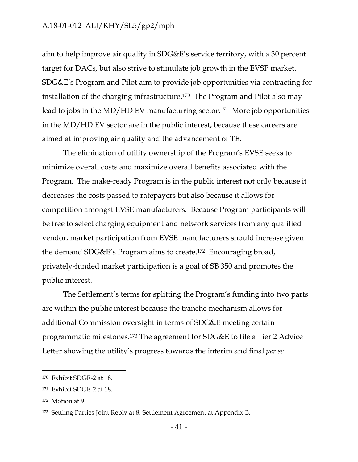aim to help improve air quality in SDG&E's service territory, with a 30 percent target for DACs, but also strive to stimulate job growth in the EVSP market. SDG&E's Program and Pilot aim to provide job opportunities via contracting for installation of the charging infrastructure. <sup>170</sup> The Program and Pilot also may lead to jobs in the MD/HD EV manufacturing sector.171 More job opportunities in the MD/HD EV sector are in the public interest, because these careers are aimed at improving air quality and the advancement of TE.

The elimination of utility ownership of the Program's EVSE seeks to minimize overall costs and maximize overall benefits associated with the Program. The make-ready Program is in the public interest not only because it decreases the costs passed to ratepayers but also because it allows for competition amongst EVSE manufacturers. Because Program participants will be free to select charging equipment and network services from any qualified vendor, market participation from EVSE manufacturers should increase given the demand SDG&E's Program aims to create. <sup>172</sup> Encouraging broad, privately-funded market participation is a goal of SB 350 and promotes the public interest.

The Settlement's terms for splitting the Program's funding into two parts are within the public interest because the tranche mechanism allows for additional Commission oversight in terms of SDG&E meeting certain programmatic milestones.<sup>173</sup> The agreement for SDG&E to file a Tier 2 Advice Letter showing the utility's progress towards the interim and final *per se*

<sup>170</sup> Exhibit SDGE-2 at 18.

<sup>171</sup> Exhibit SDGE-2 at 18.

<sup>172</sup> Motion at 9.

<sup>173</sup> Settling Parties Joint Reply at 8; Settlement Agreement at Appendix B.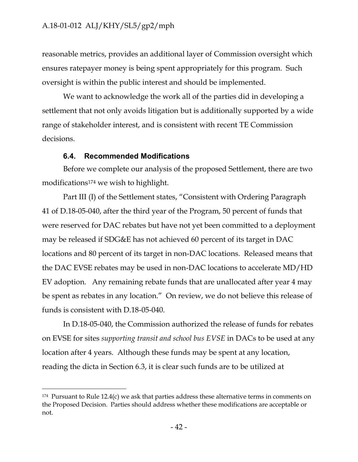reasonable metrics, provides an additional layer of Commission oversight which ensures ratepayer money is being spent appropriately for this program. Such oversight is within the public interest and should be implemented.

We want to acknowledge the work all of the parties did in developing a settlement that not only avoids litigation but is additionally supported by a wide range of stakeholder interest, and is consistent with recent TE Commission decisions.

#### **6.4. Recommended Modifications**

 $\overline{a}$ 

<span id="page-43-0"></span>Before we complete our analysis of the proposed Settlement, there are two modifications<sup>174</sup> we wish to highlight.

Part III (I) of the Settlement states, "Consistent with Ordering Paragraph 41 of D.18-05-040, after the third year of the Program, 50 percent of funds that were reserved for DAC rebates but have not yet been committed to a deployment may be released if SDG&E has not achieved 60 percent of its target in DAC locations and 80 percent of its target in non-DAC locations. Released means that the DAC EVSE rebates may be used in non-DAC locations to accelerate MD/HD EV adoption. Any remaining rebate funds that are unallocated after year 4 may be spent as rebates in any location." On review, we do not believe this release of funds is consistent with D.18-05-040.

In D.18-05-040, the Commission authorized the release of funds for rebates on EVSE for sites *supporting transit and school bus EVSE* in DACs to be used at any location after 4 years. Although these funds may be spent at any location, reading the dicta in Section 6.3, it is clear such funds are to be utilized at

 $174$  Pursuant to Rule 12.4(c) we ask that parties address these alternative terms in comments on the Proposed Decision. Parties should address whether these modifications are acceptable or not.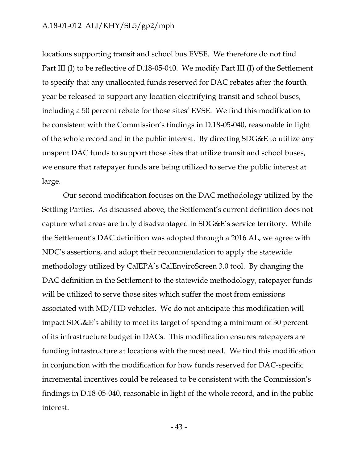locations supporting transit and school bus EVSE. We therefore do not find Part III (I) to be reflective of D.18-05-040. We modify Part III (I) of the Settlement to specify that any unallocated funds reserved for DAC rebates after the fourth year be released to support any location electrifying transit and school buses, including a 50 percent rebate for those sites' EVSE. We find this modification to be consistent with the Commission's findings in D.18-05-040, reasonable in light of the whole record and in the public interest. By directing SDG&E to utilize any unspent DAC funds to support those sites that utilize transit and school buses, we ensure that ratepayer funds are being utilized to serve the public interest at large.

Our second modification focuses on the DAC methodology utilized by the Settling Parties. As discussed above, the Settlement's current definition does not capture what areas are truly disadvantaged in SDG&E's service territory. While the Settlement's DAC definition was adopted through a 2016 AL, we agree with NDC's assertions, and adopt their recommendation to apply the statewide methodology utilized by CalEPA's CalEnviroScreen 3.0 tool. By changing the DAC definition in the Settlement to the statewide methodology, ratepayer funds will be utilized to serve those sites which suffer the most from emissions associated with MD/HD vehicles. We do not anticipate this modification will impact SDG&E's ability to meet its target of spending a minimum of 30 percent of its infrastructure budget in DACs. This modification ensures ratepayers are funding infrastructure at locations with the most need. We find this modification in conjunction with the modification for how funds reserved for DAC-specific incremental incentives could be released to be consistent with the Commission's findings in D.18-05-040, reasonable in light of the whole record, and in the public interest.

- 43 -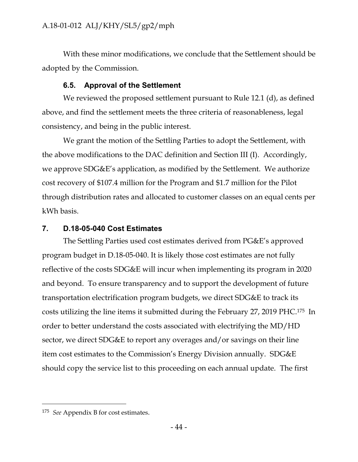With these minor modifications, we conclude that the Settlement should be adopted by the Commission.

#### **6.5. Approval of the Settlement**

<span id="page-45-0"></span>We reviewed the proposed settlement pursuant to Rule 12.1 (d), as defined above, and find the settlement meets the three criteria of reasonableness, legal consistency, and being in the public interest.

We grant the motion of the Settling Parties to adopt the Settlement, with the above modifications to the DAC definition and Section III (I). Accordingly, we approve SDG&E's application, as modified by the Settlement. We authorize cost recovery of \$107.4 million for the Program and \$1.7 million for the Pilot through distribution rates and allocated to customer classes on an equal cents per kWh basis.

#### <span id="page-45-1"></span>**7. D.18-05-040 Cost Estimates**

The Settling Parties used cost estimates derived from PG&E's approved program budget in D.18-05-040. It is likely those cost estimates are not fully reflective of the costs SDG&E will incur when implementing its program in 2020 and beyond. To ensure transparency and to support the development of future transportation electrification program budgets, we direct SDG&E to track its costs utilizing the line items it submitted during the February 27, 2019 PHC. <sup>175</sup> In order to better understand the costs associated with electrifying the MD/HD sector, we direct SDG&E to report any overages and/or savings on their line item cost estimates to the Commission's Energy Division annually. SDG&E should copy the service list to this proceeding on each annual update. The first

<sup>175</sup> *See* Appendix B for cost estimates.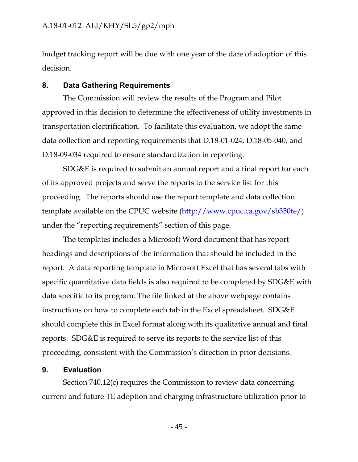budget tracking report will be due with one year of the date of adoption of this decision.

#### <span id="page-46-0"></span>**8. Data Gathering Requirements**

The Commission will review the results of the Program and Pilot approved in this decision to determine the effectiveness of utility investments in transportation electrification. To facilitate this evaluation, we adopt the same data collection and reporting requirements that D.18-01-024, D.18-05-040, and D.18-09-034 required to ensure standardization in reporting.

SDG&E is required to submit an annual report and a final report for each of its approved projects and serve the reports to the service list for this proceeding. The reports should use the report template and data collection template available on the CPUC website [\(http://www.cpuc.ca.gov/sb350te/\)](http://www.cpuc.ca.gov/sb350te/) under the "reporting requirements" section of this page.

The templates includes a Microsoft Word document that has report headings and descriptions of the information that should be included in the report. A data reporting template in Microsoft Excel that has several tabs with specific quantitative data fields is also required to be completed by SDG&E with data specific to its program. The file linked at the above webpage contains instructions on how to complete each tab in the Excel spreadsheet. SDG&E should complete this in Excel format along with its qualitative annual and final reports. SDG&E is required to serve its reports to the service list of this proceeding, consistent with the Commission's direction in prior decisions.

#### <span id="page-46-1"></span>**9. Evaluation**

Section 740.12(c) requires the Commission to review data concerning current and future TE adoption and charging infrastructure utilization prior to

- 45 -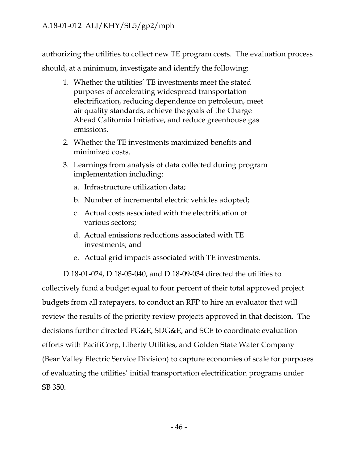authorizing the utilities to collect new TE program costs. The evaluation process should, at a minimum, investigate and identify the following:

- 1. Whether the utilities' TE investments meet the stated purposes of accelerating widespread transportation electrification, reducing dependence on petroleum, meet air quality standards, achieve the goals of the Charge Ahead California Initiative, and reduce greenhouse gas emissions.
- 2. Whether the TE investments maximized benefits and minimized costs.
- 3. Learnings from analysis of data collected during program implementation including:
	- a. Infrastructure utilization data;
	- b. Number of incremental electric vehicles adopted;
	- c. Actual costs associated with the electrification of various sectors;
	- d. Actual emissions reductions associated with TE investments; and
	- e. Actual grid impacts associated with TE investments.

D.18-01-024, D.18-05-040, and D.18-09-034 directed the utilities to collectively fund a budget equal to four percent of their total approved project budgets from all ratepayers, to conduct an RFP to hire an evaluator that will review the results of the priority review projects approved in that decision. The decisions further directed PG&E, SDG&E, and SCE to coordinate evaluation efforts with PacifiCorp, Liberty Utilities, and Golden State Water Company (Bear Valley Electric Service Division) to capture economies of scale for purposes of evaluating the utilities' initial transportation electrification programs under SB 350.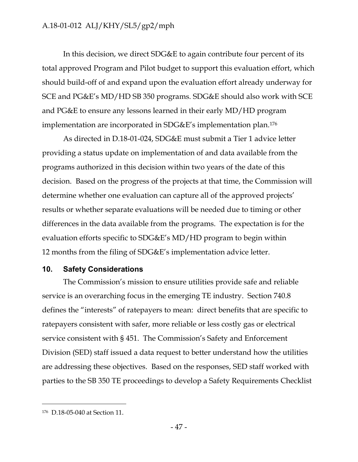In this decision, we direct SDG&E to again contribute four percent of its total approved Program and Pilot budget to support this evaluation effort, which should build-off of and expand upon the evaluation effort already underway for SCE and PG&E's MD/HD SB 350 programs. SDG&E should also work with SCE and PG&E to ensure any lessons learned in their early MD/HD program implementation are incorporated in SDG&E's implementation plan. <sup>176</sup>

As directed in D.18-01-024, SDG&E must submit a Tier 1 advice letter providing a status update on implementation of and data available from the programs authorized in this decision within two years of the date of this decision. Based on the progress of the projects at that time, the Commission will determine whether one evaluation can capture all of the approved projects' results or whether separate evaluations will be needed due to timing or other differences in the data available from the programs. The expectation is for the evaluation efforts specific to SDG&E's MD/HD program to begin within 12 months from the filing of SDG&E's implementation advice letter.

#### <span id="page-48-0"></span>**10. Safety Considerations**

The Commission's mission to ensure utilities provide safe and reliable service is an overarching focus in the emerging TE industry. Section 740.8 defines the "interests" of ratepayers to mean: direct benefits that are specific to ratepayers consistent with safer, more reliable or less costly gas or electrical service consistent with § 451. The Commission's Safety and Enforcement Division (SED) staff issued a data request to better understand how the utilities are addressing these objectives. Based on the responses, SED staff worked with parties to the SB 350 TE proceedings to develop a Safety Requirements Checklist

<sup>176</sup> D.18-05-040 at Section 11.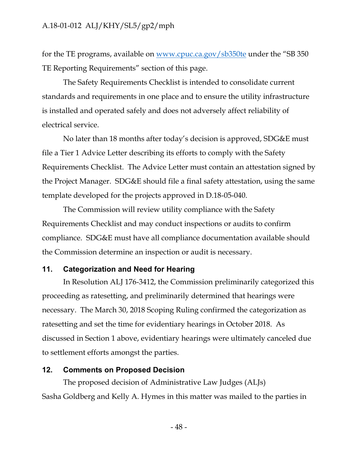for the TE programs, available on [www.cpuc.ca.gov/sb350te](http://www.cpuc.ca.gov/sb350te) under the "SB 350 TE Reporting Requirements" section of this page.

The Safety Requirements Checklist is intended to consolidate current standards and requirements in one place and to ensure the utility infrastructure is installed and operated safely and does not adversely affect reliability of electrical service.

No later than 18 months after today's decision is approved, SDG&E must file a Tier 1 Advice Letter describing its efforts to comply with the Safety Requirements Checklist. The Advice Letter must contain an attestation signed by the Project Manager. SDG&E should file a final safety attestation, using the same template developed for the projects approved in D.18-05-040.

The Commission will review utility compliance with the Safety Requirements Checklist and may conduct inspections or audits to confirm compliance. SDG&E must have all compliance documentation available should the Commission determine an inspection or audit is necessary.

#### <span id="page-49-0"></span>**11. Categorization and Need for Hearing**

In Resolution ALJ 176-3412, the Commission preliminarily categorized this proceeding as ratesetting, and preliminarily determined that hearings were necessary. The March 30, 2018 Scoping Ruling confirmed the categorization as ratesetting and set the time for evidentiary hearings in October 2018. As discussed in Section 1 above, evidentiary hearings were ultimately canceled due to settlement efforts amongst the parties.

#### <span id="page-49-1"></span>**12. Comments on Proposed Decision**

The proposed decision of Administrative Law Judges (ALJs) Sasha Goldberg and Kelly A. Hymes in this matter was mailed to the parties in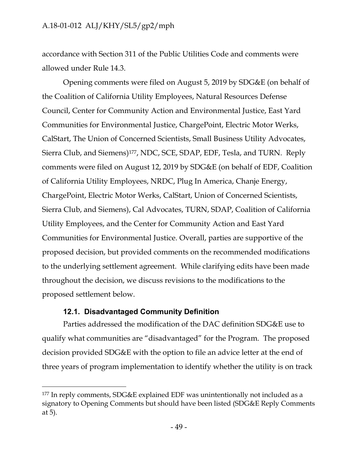accordance with Section 311 of the Public Utilities Code and comments were allowed under Rule 14.3.

Opening comments were filed on August 5, 2019 by SDG&E (on behalf of the Coalition of California Utility Employees, Natural Resources Defense Council, Center for Community Action and Environmental Justice, East Yard Communities for Environmental Justice, ChargePoint, Electric Motor Werks, CalStart, The Union of Concerned Scientists, Small Business Utility Advocates, Sierra Club, and Siemens) <sup>177</sup>, NDC, SCE, SDAP, EDF, Tesla, and TURN. Reply comments were filed on August 12, 2019 by SDG&E (on behalf of EDF, Coalition of California Utility Employees, NRDC, Plug In America, Chanje Energy, ChargePoint, Electric Motor Werks, CalStart, Union of Concerned Scientists, Sierra Club, and Siemens), Cal Advocates, TURN, SDAP, Coalition of California Utility Employees, and the Center for Community Action and East Yard Communities for Environmental Justice. Overall, parties are supportive of the proposed decision, but provided comments on the recommended modifications to the underlying settlement agreement. While clarifying edits have been made throughout the decision, we discuss revisions to the modifications to the proposed settlement below.

#### **12.1. Disadvantaged Community Definition**

 $\overline{a}$ 

<span id="page-50-0"></span>Parties addressed the modification of the DAC definition SDG&E use to qualify what communities are "disadvantaged" for the Program. The proposed decision provided SDG&E with the option to file an advice letter at the end of three years of program implementation to identify whether the utility is on track

<sup>177</sup> In reply comments, SDG&E explained EDF was unintentionally not included as a signatory to Opening Comments but should have been listed (SDG&E Reply Comments at 5).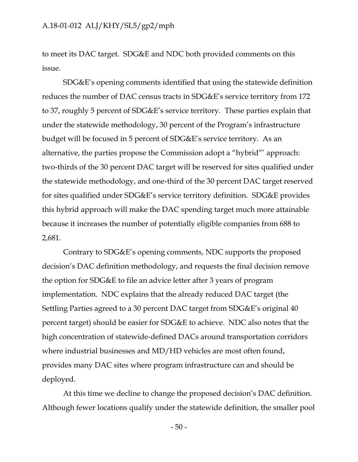to meet its DAC target. SDG&E and NDC both provided comments on this issue.

SDG&E's opening comments identified that using the statewide definition reduces the number of DAC census tracts in SDG&E's service territory from 172 to 37, roughly 5 percent of SDG&E's service territory. These parties explain that under the statewide methodology, 30 percent of the Program's infrastructure budget will be focused in 5 percent of SDG&E's service territory. As an alternative, the parties propose the Commission adopt a "hybrid"' approach: two-thirds of the 30 percent DAC target will be reserved for sites qualified under the statewide methodology, and one-third of the 30 percent DAC target reserved for sites qualified under SDG&E's service territory definition. SDG&E provides this hybrid approach will make the DAC spending target much more attainable because it increases the number of potentially eligible companies from 688 to 2,681.

Contrary to SDG&E's opening comments, NDC supports the proposed decision's DAC definition methodology, and requests the final decision remove the option for SDG&E to file an advice letter after 3 years of program implementation. NDC explains that the already reduced DAC target (the Settling Parties agreed to a 30 percent DAC target from SDG&E's original 40 percent target) should be easier for SDG&E to achieve. NDC also notes that the high concentration of statewide-defined DACs around transportation corridors where industrial businesses and MD/HD vehicles are most often found, provides many DAC sites where program infrastructure can and should be deployed.

At this time we decline to change the proposed decision's DAC definition. Although fewer locations qualify under the statewide definition, the smaller pool

- 50 -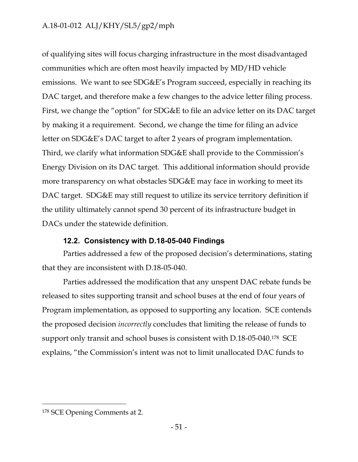of qualifying sites will focus charging infrastructure in the most disadvantaged communities which are often most heavily impacted by MD/HD vehicle emissions. We want to see SDG&E's Program succeed, especially in reaching its DAC target, and therefore make a few changes to the advice letter filing process. First, we change the "option" for SDG&E to file an advice letter on its DAC target by making it a requirement. Second, we change the time for filing an advice letter on SDG&E's DAC target to after 2 years of program implementation. Third, we clarify what information SDG&E shall provide to the Commission's Energy Division on its DAC target. This additional information should provide more transparency on what obstacles SDG&E may face in working to meet its DAC target. SDG&E may still request to utilize its service territory definition if the utility ultimately cannot spend 30 percent of its infrastructure budget in DACs under the statewide definition.

#### **12.2. Consistency with D.18-05-040 Findings**

<span id="page-52-0"></span>Parties addressed a few of the proposed decision's determinations, stating that they are inconsistent with D.18-05-040.

Parties addressed the modification that any unspent DAC rebate funds be released to sites supporting transit and school buses at the end of four years of Program implementation, as opposed to supporting any location. SCE contends the proposed decision *incorrectly* concludes that limiting the release of funds to support only transit and school buses is consistent with D.18-05-040. <sup>178</sup> SCE explains, "the Commission's intent was not to limit unallocated DAC funds to

<sup>178</sup> SCE Opening Comments at 2.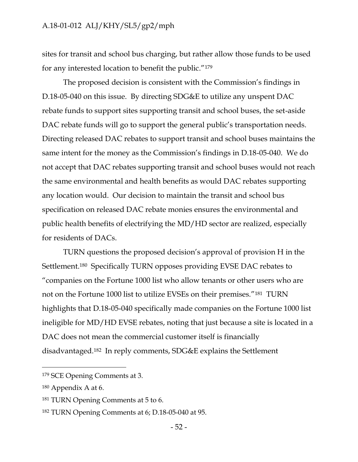sites for transit and school bus charging, but rather allow those funds to be used for any interested location to benefit the public."<sup>179</sup>

The proposed decision is consistent with the Commission's findings in D.18-05-040 on this issue. By directing SDG&E to utilize any unspent DAC rebate funds to support sites supporting transit and school buses, the set-aside DAC rebate funds will go to support the general public's transportation needs. Directing released DAC rebates to support transit and school buses maintains the same intent for the money as the Commission's findings in D.18-05-040. We do not accept that DAC rebates supporting transit and school buses would not reach the same environmental and health benefits as would DAC rebates supporting any location would. Our decision to maintain the transit and school bus specification on released DAC rebate monies ensures the environmental and public health benefits of electrifying the MD/HD sector are realized, especially for residents of DACs.

TURN questions the proposed decision's approval of provision H in the Settlement.180 Specifically TURN opposes providing EVSE DAC rebates to "companies on the Fortune 1000 list who allow tenants or other users who are not on the Fortune 1000 list to utilize EVSEs on their premises."181 TURN highlights that D.18-05-040 specifically made companies on the Fortune 1000 list ineligible for MD/HD EVSE rebates, noting that just because a site is located in a DAC does not mean the commercial customer itself is financially disadvantaged.182 In reply comments, SDG&E explains the Settlement

<sup>179</sup> SCE Opening Comments at 3.

<sup>180</sup> Appendix A at 6.

<sup>181</sup> TURN Opening Comments at 5 to 6.

<sup>182</sup> TURN Opening Comments at 6; D.18-05-040 at 95.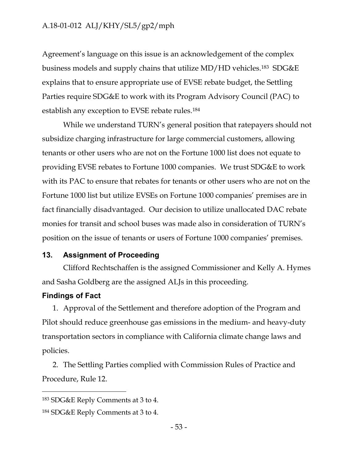Agreement's language on this issue is an acknowledgement of the complex business models and supply chains that utilize MD/HD vehicles.183 SDG&E explains that to ensure appropriate use of EVSE rebate budget, the Settling Parties require SDG&E to work with its Program Advisory Council (PAC) to establish any exception to EVSE rebate rules.<sup>184</sup>

While we understand TURN's general position that ratepayers should not subsidize charging infrastructure for large commercial customers, allowing tenants or other users who are not on the Fortune 1000 list does not equate to providing EVSE rebates to Fortune 1000 companies. We trust SDG&E to work with its PAC to ensure that rebates for tenants or other users who are not on the Fortune 1000 list but utilize EVSEs on Fortune 1000 companies' premises are in fact financially disadvantaged. Our decision to utilize unallocated DAC rebate monies for transit and school buses was made also in consideration of TURN's position on the issue of tenants or users of Fortune 1000 companies' premises.

#### <span id="page-54-0"></span>**13. Assignment of Proceeding**

Clifford Rechtschaffen is the assigned Commissioner and Kelly A. Hymes and Sasha Goldberg are the assigned ALJs in this proceeding.

#### <span id="page-54-1"></span>**Findings of Fact**

 $\overline{a}$ 

1. Approval of the Settlement and therefore adoption of the Program and Pilot should reduce greenhouse gas emissions in the medium- and heavy-duty transportation sectors in compliance with California climate change laws and policies.

2. The Settling Parties complied with Commission Rules of Practice and Procedure, Rule 12.

<sup>183</sup> SDG&E Reply Comments at 3 to 4.

<sup>184</sup> SDG&E Reply Comments at 3 to 4.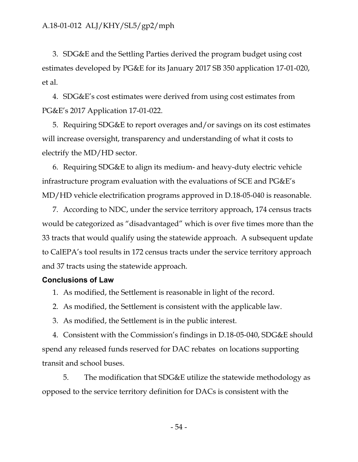3. SDG&E and the Settling Parties derived the program budget using cost estimates developed by PG&E for its January 2017 SB 350 application 17-01-020, et al.

4. SDG&E's cost estimates were derived from using cost estimates from PG&E's 2017 Application 17-01-022.

5. Requiring SDG&E to report overages and/or savings on its cost estimates will increase oversight, transparency and understanding of what it costs to electrify the MD/HD sector.

6. Requiring SDG&E to align its medium- and heavy-duty electric vehicle infrastructure program evaluation with the evaluations of SCE and PG&E's MD/HD vehicle electrification programs approved in D.18-05-040 is reasonable.

7. According to NDC, under the service territory approach, 174 census tracts would be categorized as "disadvantaged" which is over five times more than the 33 tracts that would qualify using the statewide approach. A subsequent update to CalEPA's tool results in 172 census tracts under the service territory approach and 37 tracts using the statewide approach.

#### <span id="page-55-0"></span>**Conclusions of Law**

1. As modified, the Settlement is reasonable in light of the record.

2. As modified, the Settlement is consistent with the applicable law.

3. As modified, the Settlement is in the public interest.

4. Consistent with the Commission's findings in D.18-05-040, SDG&E should spend any released funds reserved for DAC rebates on locations supporting transit and school buses.

5. The modification that SDG&E utilize the statewide methodology as opposed to the service territory definition for DACs is consistent with the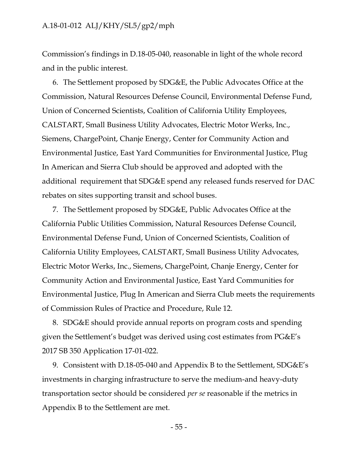Commission's findings in D.18-05-040, reasonable in light of the whole record and in the public interest.

6. The Settlement proposed by SDG&E, the Public Advocates Office at the Commission, Natural Resources Defense Council, Environmental Defense Fund, Union of Concerned Scientists, Coalition of California Utility Employees, CALSTART, Small Business Utility Advocates, Electric Motor Werks, Inc., Siemens, ChargePoint, Chanje Energy, Center for Community Action and Environmental Justice, East Yard Communities for Environmental Justice, Plug In American and Sierra Club should be approved and adopted with the additional requirement that SDG&E spend any released funds reserved for DAC rebates on sites supporting transit and school buses.

7. The Settlement proposed by SDG&E, Public Advocates Office at the California Public Utilities Commission, Natural Resources Defense Council, Environmental Defense Fund, Union of Concerned Scientists, Coalition of California Utility Employees, CALSTART, Small Business Utility Advocates, Electric Motor Werks, Inc., Siemens, ChargePoint, Chanje Energy, Center for Community Action and Environmental Justice, East Yard Communities for Environmental Justice, Plug In American and Sierra Club meets the requirements of Commission Rules of Practice and Procedure, Rule 12.

8. SDG&E should provide annual reports on program costs and spending given the Settlement's budget was derived using cost estimates from PG&E's 2017 SB 350 Application 17-01-022.

9. Consistent with D.18-05-040 and Appendix B to the Settlement, SDG&E's investments in charging infrastructure to serve the medium-and heavy-duty transportation sector should be considered *per se* reasonable if the metrics in Appendix B to the Settlement are met.

- 55 -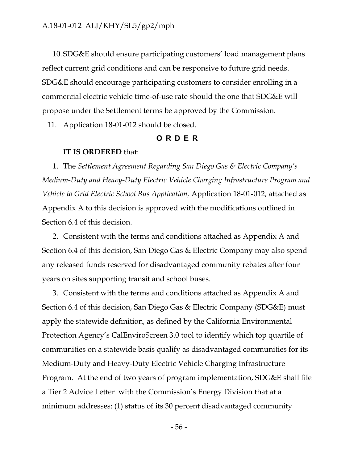10. SDG&E should ensure participating customers' load management plans reflect current grid conditions and can be responsive to future grid needs. SDG&E should encourage participating customers to consider enrolling in a commercial electric vehicle time-of-use rate should the one that SDG&E will propose under the Settlement terms be approved by the Commission.

<span id="page-57-0"></span>11. Application 18-01-012 should be closed.

#### **ORDER**

#### **IT IS ORDERED** that:

1. The *Settlement Agreement Regarding San Diego Gas & Electric Company's Medium-Duty and Heavy-Duty Electric Vehicle Charging Infrastructure Program and Vehicle to Grid Electric School Bus Application,* Application 18-01-012, attached as Appendix A to this decision is approved with the modifications outlined in Section 6.4 of this decision.

2. Consistent with the terms and conditions attached as Appendix A and Section 6.4 of this decision, San Diego Gas & Electric Company may also spend any released funds reserved for disadvantaged community rebates after four years on sites supporting transit and school buses.

3. Consistent with the terms and conditions attached as Appendix A and Section 6.4 of this decision, San Diego Gas & Electric Company (SDG&E) must apply the statewide definition, as defined by the California Environmental Protection Agency's CalEnviroScreen 3.0 tool to identify which top quartile of communities on a statewide basis qualify as disadvantaged communities for its Medium-Duty and Heavy-Duty Electric Vehicle Charging Infrastructure Program. At the end of two years of program implementation, SDG&E shall file a Tier 2 Advice Letter with the Commission's Energy Division that at a minimum addresses: (1) status of its 30 percent disadvantaged community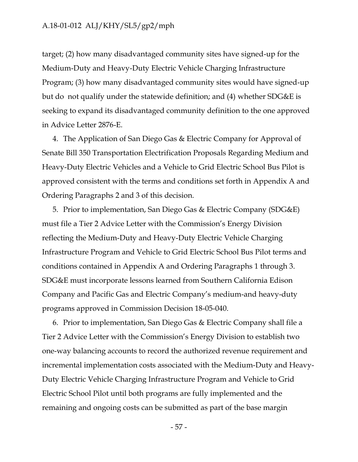target; (2) how many disadvantaged community sites have signed-up for the Medium-Duty and Heavy-Duty Electric Vehicle Charging Infrastructure Program; (3) how many disadvantaged community sites would have signed-up but do not qualify under the statewide definition; and (4) whether SDG&E is seeking to expand its disadvantaged community definition to the one approved in Advice Letter 2876-E.

4. The Application of San Diego Gas & Electric Company for Approval of Senate Bill 350 Transportation Electrification Proposals Regarding Medium and Heavy-Duty Electric Vehicles and a Vehicle to Grid Electric School Bus Pilot is approved consistent with the terms and conditions set forth in Appendix A and Ordering Paragraphs 2 and 3 of this decision.

5. Prior to implementation, San Diego Gas & Electric Company (SDG&E) must file a Tier 2 Advice Letter with the Commission's Energy Division reflecting the Medium-Duty and Heavy-Duty Electric Vehicle Charging Infrastructure Program and Vehicle to Grid Electric School Bus Pilot terms and conditions contained in Appendix A and Ordering Paragraphs 1 through 3. SDG&E must incorporate lessons learned from Southern California Edison Company and Pacific Gas and Electric Company's medium-and heavy-duty programs approved in Commission Decision 18-05-040.

6. Prior to implementation, San Diego Gas & Electric Company shall file a Tier 2 Advice Letter with the Commission's Energy Division to establish two one-way balancing accounts to record the authorized revenue requirement and incremental implementation costs associated with the Medium-Duty and Heavy-Duty Electric Vehicle Charging Infrastructure Program and Vehicle to Grid Electric School Pilot until both programs are fully implemented and the remaining and ongoing costs can be submitted as part of the base margin

- 57 -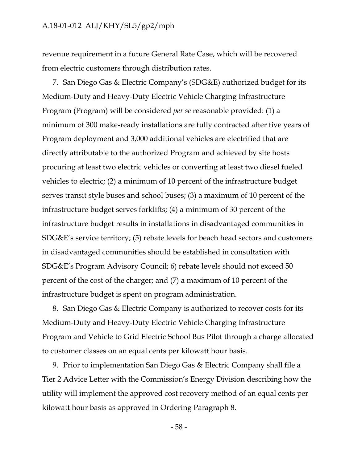revenue requirement in a future General Rate Case, which will be recovered from electric customers through distribution rates.

7. San Diego Gas & Electric Company's (SDG&E) authorized budget for its Medium-Duty and Heavy-Duty Electric Vehicle Charging Infrastructure Program (Program) will be considered *per se* reasonable provided: (1) a minimum of 300 make-ready installations are fully contracted after five years of Program deployment and 3,000 additional vehicles are electrified that are directly attributable to the authorized Program and achieved by site hosts procuring at least two electric vehicles or converting at least two diesel fueled vehicles to electric; (2) a minimum of 10 percent of the infrastructure budget serves transit style buses and school buses; (3) a maximum of 10 percent of the infrastructure budget serves forklifts; (4) a minimum of 30 percent of the infrastructure budget results in installations in disadvantaged communities in SDG&E's service territory; (5) rebate levels for beach head sectors and customers in disadvantaged communities should be established in consultation with SDG&E's Program Advisory Council; 6) rebate levels should not exceed 50 percent of the cost of the charger; and (7) a maximum of 10 percent of the infrastructure budget is spent on program administration.

8. San Diego Gas & Electric Company is authorized to recover costs for its Medium-Duty and Heavy-Duty Electric Vehicle Charging Infrastructure Program and Vehicle to Grid Electric School Bus Pilot through a charge allocated to customer classes on an equal cents per kilowatt hour basis.

9. Prior to implementation San Diego Gas & Electric Company shall file a Tier 2 Advice Letter with the Commission's Energy Division describing how the utility will implement the approved cost recovery method of an equal cents per kilowatt hour basis as approved in Ordering Paragraph 8.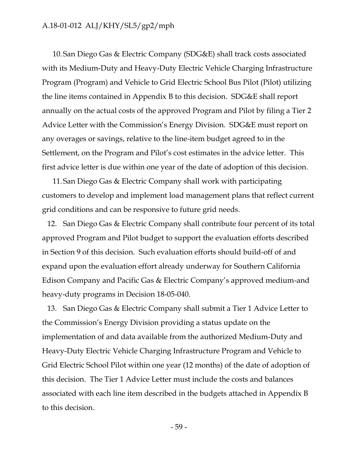10. San Diego Gas & Electric Company (SDG&E) shall track costs associated with its Medium-Duty and Heavy-Duty Electric Vehicle Charging Infrastructure Program (Program) and Vehicle to Grid Electric School Bus Pilot (Pilot) utilizing the line items contained in Appendix B to this decision. SDG&E shall report annually on the actual costs of the approved Program and Pilot by filing a Tier 2 Advice Letter with the Commission's Energy Division. SDG&E must report on any overages or savings, relative to the line-item budget agreed to in the Settlement, on the Program and Pilot's cost estimates in the advice letter. This first advice letter is due within one year of the date of adoption of this decision.

11. San Diego Gas & Electric Company shall work with participating customers to develop and implement load management plans that reflect current grid conditions and can be responsive to future grid needs.

12. San Diego Gas & Electric Company shall contribute four percent of its total approved Program and Pilot budget to support the evaluation efforts described in Section 9 of this decision. Such evaluation efforts should build-off of and expand upon the evaluation effort already underway for Southern California Edison Company and Pacific Gas & Electric Company's approved medium-and heavy-duty programs in Decision 18-05-040.

13. San Diego Gas & Electric Company shall submit a Tier 1 Advice Letter to the Commission's Energy Division providing a status update on the implementation of and data available from the authorized Medium-Duty and Heavy-Duty Electric Vehicle Charging Infrastructure Program and Vehicle to Grid Electric School Pilot within one year (12 months) of the date of adoption of this decision. The Tier 1 Advice Letter must include the costs and balances associated with each line item described in the budgets attached in Appendix B to this decision.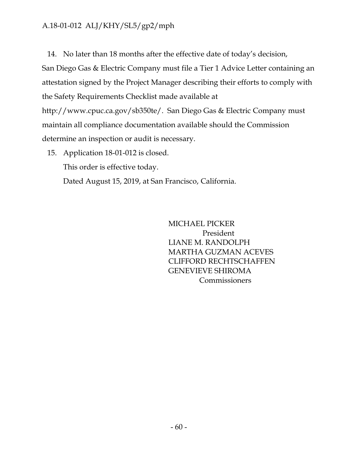14. No later than 18 months after the effective date of today's decision,

San Diego Gas & Electric Company must file a Tier 1 Advice Letter containing an attestation signed by the Project Manager describing their efforts to comply with the Safety Requirements Checklist made available at

http://www.cpuc.ca.gov/sb350te/. San Diego Gas & Electric Company must maintain all compliance documentation available should the Commission determine an inspection or audit is necessary.

15. Application 18-01-012 is closed. This order is effective today. Dated August 15, 2019, at San Francisco, California.

> MICHAEL PICKER President LIANE M. RANDOLPH MARTHA GUZMAN ACEVES CLIFFORD RECHTSCHAFFEN GENEVIEVE SHIROMA Commissioners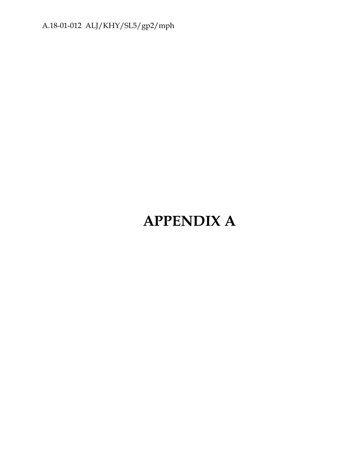# **APPENDIX A**